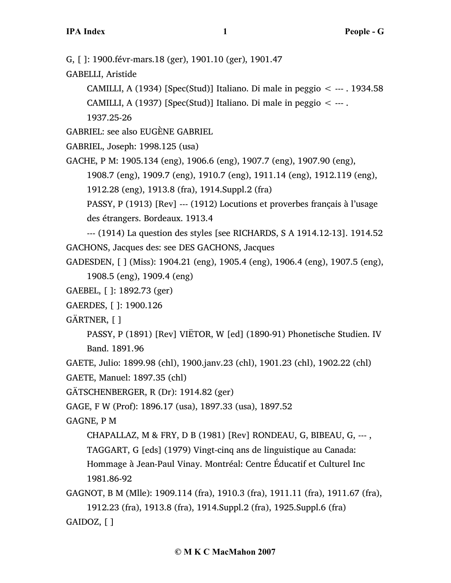G, [ ]: 1900.févr-mars.18 (ger), 1901.10 (ger), 1901.47

GABELLI, Aristide

CAMILLI, A (1934) [Spec(Stud)] Italiano. Di male in peggio  $\lt$  --- . 1934.58 CAMILLI, A (1937) [Spec(Stud)] Italiano. Di male in peggio  $\lt$  ---. 1937.25-26

GABRIEL: see also EUGÈNE GABRIEL

GABRIEL, Joseph: 1998.125 (usa)

GACHE, P M: 1905.134 (eng), 1906.6 (eng), 1907.7 (eng), 1907.90 (eng),

1908.7 (eng), 1909.7 (eng), 1910.7 (eng), 1911.14 (eng), 1912.119 (eng),

1912.28 (eng), 1913.8 (fra), 1914.Suppl.2 (fra)

PASSY, P (1913) [Rev] --- (1912) Locutions et proverbes français à l'usage des étrangers. Bordeaux. 1913.4

--- (1914) La question des styles [see RICHARDS, S A 1914.12-13]. 1914.52 GACHONS, Jacques des: see DES GACHONS, Jacques

GADESDEN, [ ] (Miss): 1904.21 (eng), 1905.4 (eng), 1906.4 (eng), 1907.5 (eng), 1908.5 (eng), 1909.4 (eng)

GAEBEL, [ ]: 1892.73 (ger)

GAERDES, [ ]: 1900.126

GÄRTNER, [ ]

PASSY, P (1891) [Rev] VIËTOR, W [ed] (1890-91) Phonetische Studien. IV Band. 1891.96

GAETE, Julio: 1899.98 (chl), 1900.janv.23 (chl), 1901.23 (chl), 1902.22 (chl)

GAETE, Manuel: 1897.35 (chl)

GÄTSCHENBERGER, R (Dr): 1914.82 (ger)

GAGE, F W (Prof): 1896.17 (usa), 1897.33 (usa), 1897.52

GAGNE, P M

CHAPALLAZ, M & FRY, D B (1981) [Rev] RONDEAU, G, BIBEAU, G, ---, TAGGART, G [eds] (1979) Vingt-cinq ans de linguistique au Canada: Hommage à Jean-Paul Vinay. Montréal: Centre Éducatif et Culturel Inc 1981.86-92

GAGNOT, B M (Mlle): 1909.114 (fra), 1910.3 (fra), 1911.11 (fra), 1911.67 (fra), 1912.23 (fra), 1913.8 (fra), 1914.Suppl.2 (fra), 1925.Suppl.6 (fra) GAIDOZ, [ ]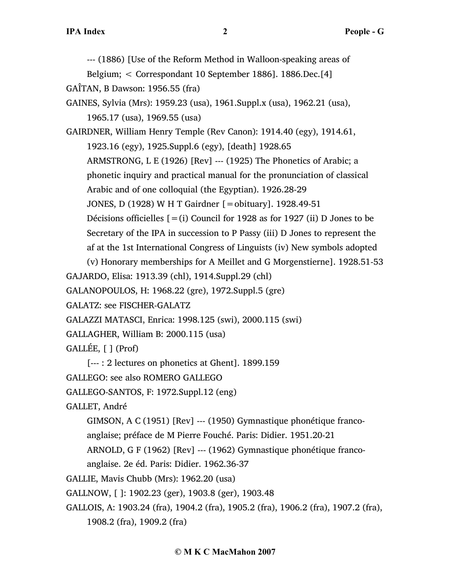--- (1886) [Use of the Reform Method in Walloon-speaking areas of

Belgium; < Correspondant 10 September 1886]. 1886.Dec.[4]

GAÎTAN, B Dawson: 1956.55 (fra)

GAINES, Sylvia (Mrs): 1959.23 (usa), 1961.Suppl.x (usa), 1962.21 (usa), 1965.17 (usa), 1969.55 (usa)

GAIRDNER, William Henry Temple (Rev Canon): 1914.40 (egy), 1914.61, 1923.16 (egy), 1925.Suppl.6 (egy), [death] 1928.65 ARMSTRONG, L E (1926) [Rev] --- (1925) The Phonetics of Arabic; a phonetic inquiry and practical manual for the pronunciation of classical Arabic and of one colloquial (the Egyptian). 1926.28-29 JONES, D (1928) W H T Gairdner [=obituary]. 1928.49-51 Décisions officielles  $[=(i)$  Council for 1928 as for 1927 (ii) D Jones to be

Secretary of the IPA in succession to P Passy (iii) D Jones to represent the af at the 1st International Congress of Linguists (iv) New symbols adopted

(v) Honorary memberships for A Meillet and G Morgenstierne]. 1928.51-53 GAJARDO, Elisa: 1913.39 (chl), 1914.Suppl.29 (chl)

GALANOPOULOS, H: 1968.22 (gre), 1972.Suppl.5 (gre)

GALATZ: see FISCHER-GALATZ

GALAZZI MATASCI, Enrica: 1998.125 (swi), 2000.115 (swi)

GALLAGHER, William B: 2000.115 (usa)

GALLÉE, [ ] (Prof)

[--- : 2 lectures on phonetics at Ghent]. 1899.159

GALLEGO: see also ROMERO GALLEGO

GALLEGO-SANTOS, F: 1972.Suppl.12 (eng)

GALLET, André

GIMSON, A C (1951) [Rev] --- (1950) Gymnastique phonétique francoanglaise; préface de M Pierre Fouché. Paris: Didier. 1951.20-21

ARNOLD, G F (1962) [Rev] --- (1962) Gymnastique phonétique franco-

anglaise. 2e éd. Paris: Didier. 1962.36-37

GALLIE, Mavis Chubb (Mrs): 1962.20 (usa)

GALLNOW, [ ]: 1902.23 (ger), 1903.8 (ger), 1903.48

GALLOIS, A: 1903.24 (fra), 1904.2 (fra), 1905.2 (fra), 1906.2 (fra), 1907.2 (fra), 1908.2 (fra), 1909.2 (fra)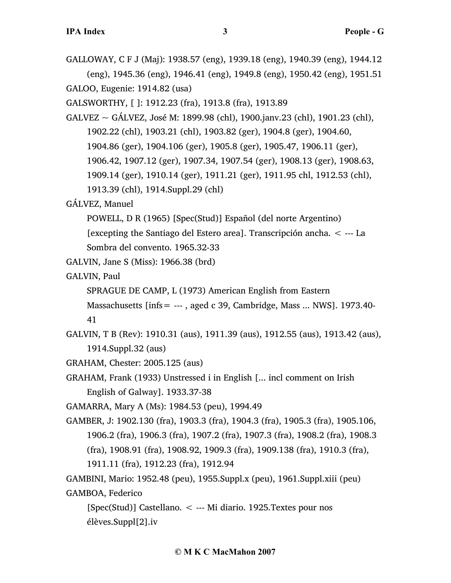GALLOWAY, C F J (Maj): 1938.57 (eng), 1939.18 (eng), 1940.39 (eng), 1944.12 (eng), 1945.36 (eng), 1946.41 (eng), 1949.8 (eng), 1950.42 (eng), 1951.51 GALOO, Eugenie: 1914.82 (usa)

GALSWORTHY, [ ]: 1912.23 (fra), 1913.8 (fra), 1913.89

GALVEZ ~ GÁLVEZ, José M: 1899.98 (chl), 1900.janv.23 (chl), 1901.23 (chl), 1902.22 (chl), 1903.21 (chl), 1903.82 (ger), 1904.8 (ger), 1904.60, 1904.86 (ger), 1904.106 (ger), 1905.8 (ger), 1905.47, 1906.11 (ger), 1906.42, 1907.12 (ger), 1907.34, 1907.54 (ger), 1908.13 (ger), 1908.63, 1909.14 (ger), 1910.14 (ger), 1911.21 (ger), 1911.95 chl, 1912.53 (chl), 1913.39 (chl), 1914.Suppl.29 (chl)

# GÁLVEZ, Manuel

POWELL, D R (1965) [Spec(Stud)] Español (del norte Argentino) [excepting the Santiago del Estero area]. Transcripción ancha. < --- La

Sombra del convento. 1965.32-33

- GALVIN, Jane S (Miss): 1966.38 (brd)
- GALVIN, Paul

SPRAGUE DE CAMP, L (1973) American English from Eastern

Massachusetts  $link = --$ , aged c 39, Cambridge, Mass ... NWS]. 1973.40-

41

- GALVIN, T B (Rev): 1910.31 (aus), 1911.39 (aus), 1912.55 (aus), 1913.42 (aus), 1914.Suppl.32 (aus)
- GRAHAM, Chester: 2005.125 (aus)
- GRAHAM, Frank (1933) Unstressed i in English [... incl comment on Irish English of Galway]. 1933.37-38

GAMARRA, Mary A (Ms): 1984.53 (peu), 1994.49

GAMBER, J: 1902.130 (fra), 1903.3 (fra), 1904.3 (fra), 1905.3 (fra), 1905.106, 1906.2 (fra), 1906.3 (fra), 1907.2 (fra), 1907.3 (fra), 1908.2 (fra), 1908.3 (fra), 1908.91 (fra), 1908.92, 1909.3 (fra), 1909.138 (fra), 1910.3 (fra), 1911.11 (fra), 1912.23 (fra), 1912.94

GAMBINI, Mario: 1952.48 (peu), 1955.Suppl.x (peu), 1961.Suppl.xiii (peu) GAMBOA, Federico

[Spec(Stud)] Castellano. < --- Mi diario. 1925.Textes pour nos élèves.Suppl[2].iv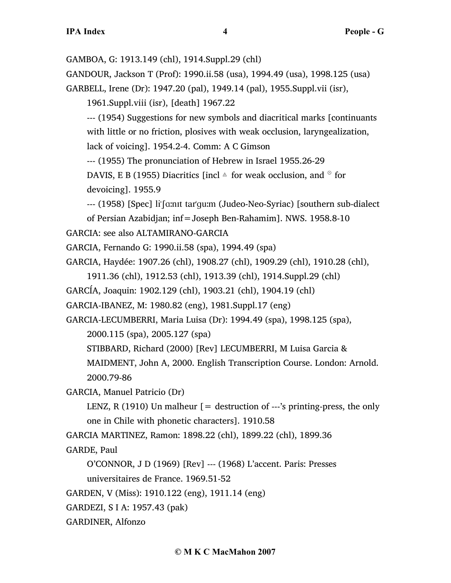GAMBOA, G: 1913.149 (chl), 1914.Suppl.29 (chl)

GANDOUR, Jackson T (Prof): 1990.ii.58 (usa), 1994.49 (usa), 1998.125 (usa)

GARBELL, Irene (Dr): 1947.20 (pal), 1949.14 (pal), 1955.Suppl.vii (isr),

1961.Suppl.viii (isr), [death] 1967.22

--- (1954) Suggestions for new symbols and diacritical marks [continuants with little or no friction, plosives with weak occlusion, laryngealization,

lack of voicing]. 1954.2-4. Comm: A C Gimson

--- (1955) The pronunciation of Hebrew in Israel 1955.26-29

```
DAVIS, E B (1955) Diacritics [incl \triangle for weak occlusion, and \degree for
devoicing]. 1955.9
```
--- (1958) [Spec] li's ant tar'qu; (Judeo-Neo-Syriac) [southern sub-dialect]

```
of Persian Azabidjan; inf=Joseph Ben-Rahamim]. NWS. 1958.8-10
```
GARCIA: see also ALTAMIRANO-GARCIA

GARCIA, Fernando G: 1990.ii.58 (spa), 1994.49 (spa)

GARCIA, Haydée: 1907.26 (chl), 1908.27 (chl), 1909.29 (chl), 1910.28 (chl),

1911.36 (chl), 1912.53 (chl), 1913.39 (chl), 1914.Suppl.29 (chl)

GARCÍA, Joaquin: 1902.129 (chl), 1903.21 (chl), 1904.19 (chl)

```
GARCIA-IBANEZ, M: 1980.82 (eng), 1981.Suppl.17 (eng)
```
GARCIA-LECUMBERRI, Maria Luisa (Dr): 1994.49 (spa), 1998.125 (spa),

2000.115 (spa), 2005.127 (spa)

STIBBARD, Richard (2000) [Rev] LECUMBERRI, M Luisa Garcia &

MAIDMENT, John A, 2000. English Transcription Course. London: Arnold. 2000.79-86

GARCIA, Manuel Patricio (Dr)

LENZ, R (1910) Un malheur  $=$  destruction of ---'s printing-press, the only one in Chile with phonetic characters]. 1910.58

GARCIA MARTINEZ, Ramon: 1898.22 (chl), 1899.22 (chl), 1899.36

GARDE, Paul

O'CONNOR, J D (1969) [Rev] --- (1968) L'accent. Paris: Presses universitaires de France. 1969.51-52

GARDEN, V (Miss): 1910.122 (eng), 1911.14 (eng)

- GARDEZI, S I A: 1957.43 (pak)
- GARDINER, Alfonzo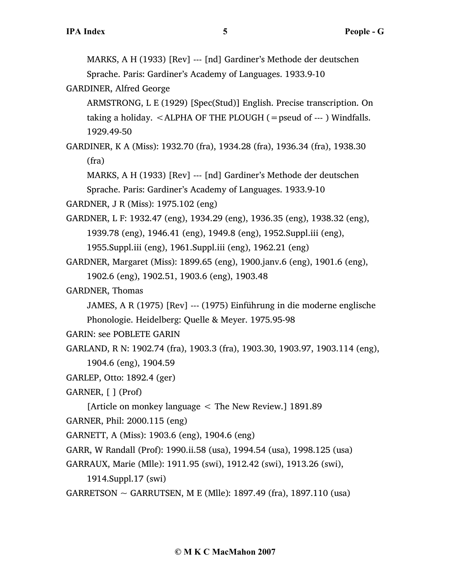MARKS, A H (1933) [Rev] --- [nd] Gardiner's Methode der deutschen Sprache. Paris: Gardiner's Academy of Languages. 1933.9-10

GARDINER, Alfred George

ARMSTRONG, L E (1929) [Spec(Stud)] English. Precise transcription. On taking a holiday.  $\leq$  ALPHA OF THE PLOUGH (= pseud of --- ) Windfalls. 1929.49-50

GARDINER, K A (Miss): 1932.70 (fra), 1934.28 (fra), 1936.34 (fra), 1938.30 (fra)

MARKS, A H (1933) [Rev] --- [nd] Gardiner's Methode der deutschen Sprache. Paris: Gardiner's Academy of Languages. 1933.9-10

GARDNER, J R (Miss): 1975.102 (eng)

GARDNER, L F: 1932.47 (eng), 1934.29 (eng), 1936.35 (eng), 1938.32 (eng), 1939.78 (eng), 1946.41 (eng), 1949.8 (eng), 1952.Suppl.iii (eng), 1955.Suppl.iii (eng), 1961.Suppl.iii (eng), 1962.21 (eng)

GARDNER, Margaret (Miss): 1899.65 (eng), 1900.janv.6 (eng), 1901.6 (eng), 1902.6 (eng), 1902.51, 1903.6 (eng), 1903.48

GARDNER, Thomas

JAMES, A R (1975) [Rev] --- (1975) Einführung in die moderne englische Phonologie. Heidelberg: Quelle & Meyer. 1975.95-98

GARIN: see POBLETE GARIN

```
GARLAND, R N: 1902.74 (fra), 1903.3 (fra), 1903.30, 1903.97, 1903.114 (eng),
```

```
1904.6 (eng), 1904.59
```

```
GARLEP, Otto: 1892.4 (ger)
```
GARNER, [ ] (Prof)

[Article on monkey language < The New Review.] 1891.89

GARNER, Phil: 2000.115 (eng)

GARNETT, A (Miss): 1903.6 (eng), 1904.6 (eng)

GARR, W Randall (Prof): 1990.ii.58 (usa), 1994.54 (usa), 1998.125 (usa)

```
GARRAUX, Marie (Mlle): 1911.95 (swi), 1912.42 (swi), 1913.26 (swi),
```
1914.Suppl.17 (swi)

GARRETSON  $\sim$  GARRUTSEN, M E (Mlle): 1897.49 (fra), 1897.110 (usa)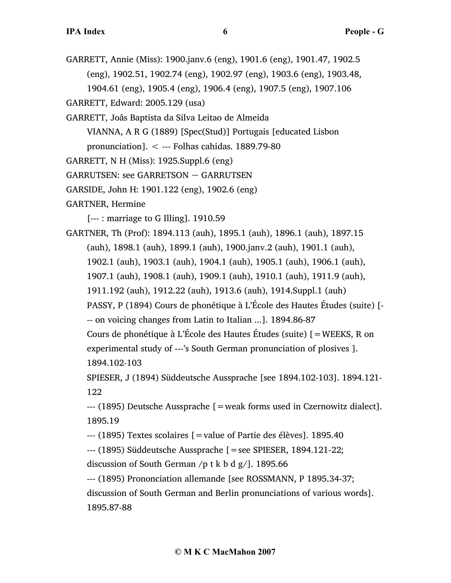- GARRETT, Annie (Miss): 1900.janv.6 (eng), 1901.6 (eng), 1901.47, 1902.5 (eng), 1902.51, 1902.74 (eng), 1902.97 (eng), 1903.6 (eng), 1903.48, 1904.61 (eng), 1905.4 (eng), 1906.4 (eng), 1907.5 (eng), 1907.106
- GARRETT, Edward: 2005.129 (usa)
- GARRETT, Joâs Baptista da Silva Leitao de Almeida
	- VIANNA, A R G (1889) [Spec(Stud)] Portugais [educated Lisbon
	- pronunciation]. < --- Folhas cahidas. 1889.79-80
- GARRETT, N H (Miss): 1925.Suppl.6 (eng)
- $GARRUTSEN:$  see  $GARRETSON \sim GARRUTSEN$
- GARSIDE, John H: 1901.122 (eng), 1902.6 (eng)
- GARTNER, Hermine
	- [--- : marriage to G Illing]. 1910.59
- GARTNER, Th (Prof): 1894.113 (auh), 1895.1 (auh), 1896.1 (auh), 1897.15 (auh), 1898.1 (auh), 1899.1 (auh), 1900.janv.2 (auh), 1901.1 (auh), 1902.1 (auh), 1903.1 (auh), 1904.1 (auh), 1905.1 (auh), 1906.1 (auh), 1907.1 (auh), 1908.1 (auh), 1909.1 (auh), 1910.1 (auh), 1911.9 (auh), 1911.192 (auh), 1912.22 (auh), 1913.6 (auh), 1914.Suppl.1 (auh) PASSY, P (1894) Cours de phonétique à L'École des Hautes Études (suite) [- -- on voicing changes from Latin to Italian ...]. 1894.86-87 Cours de phonétique à L'École des Hautes Études (suite) [=WEEKS, R on experimental study of ---'s South German pronunciation of plosives ]. 1894.102-103
	- SPIESER, J (1894) Süddeutsche Aussprache [see 1894.102-103]. 1894.121- 122
	- --- (1895) Deutsche Aussprache [=weak forms used in Czernowitz dialect]. 1895.19
	- --- (1895) Textes scolaires [=value of Partie des élèves]. 1895.40
	- --- (1895) Süddeutsche Aussprache [=see SPIESER, 1894.121-22;
	- discussion of South German /p t k b d  $g/$ ]. 1895.66
	- --- (1895) Prononciation allemande [see ROSSMANN, P 1895.34-37;
	- discussion of South German and Berlin pronunciations of various words]. 1895.87-88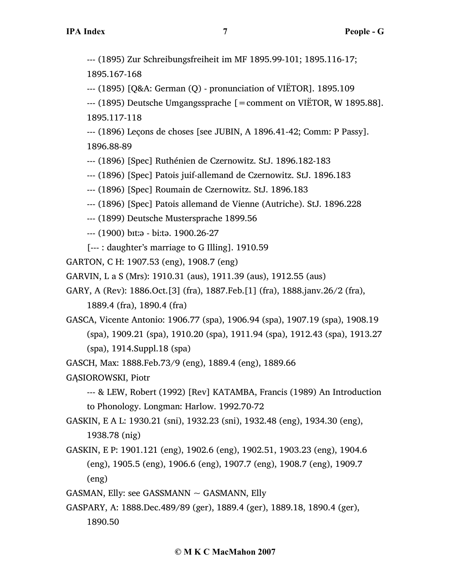--- (1895) Zur Schreibungsfreiheit im MF 1895.99-101; 1895.116-17;

1895.167-168

--- (1895) [Q&A: German (Q) - pronunciation of VIËTOR]. 1895.109

--- (1895) Deutsche Umgangssprache [=comment on VIËTOR, W 1895.88]. 1895.117-118

--- (1896) Leçons de choses [see JUBIN, A 1896.41-42; Comm: P Passy]. 1896.88-89

--- (1896) [Spec] Ruthénien de Czernowitz. StJ. 1896.182-183

--- (1896) [Spec] Patois juif-allemand de Czernowitz. StJ. 1896.183

--- (1896) [Spec] Roumain de Czernowitz. StJ. 1896.183

- --- (1896) [Spec] Patois allemand de Vienne (Autriche). StJ. 1896.228
- --- (1899) Deutsche Mustersprache 1899.56

--- (1900) bɪt…ə - bi…tə. 1900.26-27

[--- : daughter's marriage to G Illing]. 1910.59

GARTON, C H: 1907.53 (eng), 1908.7 (eng)

GARVIN, L a S (Mrs): 1910.31 (aus), 1911.39 (aus), 1912.55 (aus)

GARY, A (Rev): 1886.Oct.[3] (fra), 1887.Feb.[1] (fra), 1888.janv.26/2 (fra),

1889.4 (fra), 1890.4 (fra)

GASCA, Vicente Antonio: 1906.77 (spa), 1906.94 (spa), 1907.19 (spa), 1908.19 (spa), 1909.21 (spa), 1910.20 (spa), 1911.94 (spa), 1912.43 (spa), 1913.27 (spa), 1914.Suppl.18 (spa)

GASCH, Max: 1888.Feb.73/9 (eng), 1889.4 (eng), 1889.66

GĄSIOROWSKI, Piotr

--- & LEW, Robert (1992) [Rev] KATAMBA, Francis (1989) An Introduction to Phonology. Longman: Harlow. 1992.70-72

GASKIN, E A L: 1930.21 (sni), 1932.23 (sni), 1932.48 (eng), 1934.30 (eng), 1938.78 (nig)

GASKIN, E P: 1901.121 (eng), 1902.6 (eng), 1902.51, 1903.23 (eng), 1904.6 (eng), 1905.5 (eng), 1906.6 (eng), 1907.7 (eng), 1908.7 (eng), 1909.7 (eng)

GASMAN, Elly: see GASSMANN  $\sim$  GASMANN, Elly

GASPARY, A: 1888.Dec.489/89 (ger), 1889.4 (ger), 1889.18, 1890.4 (ger), 1890.50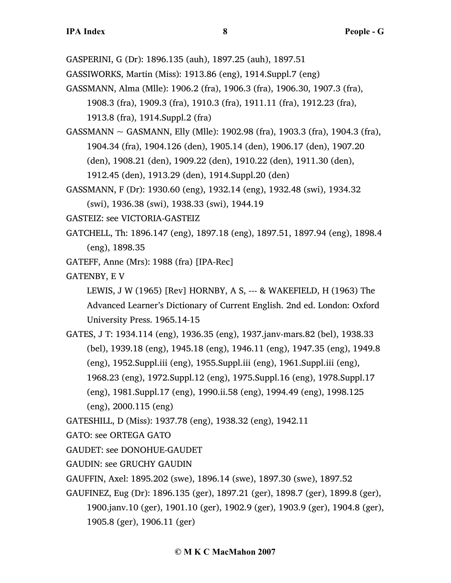- GASPERINI, G (Dr): 1896.135 (auh), 1897.25 (auh), 1897.51
- GASSIWORKS, Martin (Miss): 1913.86 (eng), 1914.Suppl.7 (eng)
- GASSMANN, Alma (Mlle): 1906.2 (fra), 1906.3 (fra), 1906.30, 1907.3 (fra),
	- 1908.3 (fra), 1909.3 (fra), 1910.3 (fra), 1911.11 (fra), 1912.23 (fra),

1913.8 (fra), 1914.Suppl.2 (fra)

- GASSMANN  $\sim$  GASMANN, Elly (Mlle): 1902.98 (fra), 1903.3 (fra), 1904.3 (fra), 1904.34 (fra), 1904.126 (den), 1905.14 (den), 1906.17 (den), 1907.20 (den), 1908.21 (den), 1909.22 (den), 1910.22 (den), 1911.30 (den), 1912.45 (den), 1913.29 (den), 1914.Suppl.20 (den)
- GASSMANN, F (Dr): 1930.60 (eng), 1932.14 (eng), 1932.48 (swi), 1934.32 (swi), 1936.38 (swi), 1938.33 (swi), 1944.19
- GASTEIZ: see VICTORIA-GASTEIZ
- GATCHELL, Th: 1896.147 (eng), 1897.18 (eng), 1897.51, 1897.94 (eng), 1898.4 (eng), 1898.35
- GATEFF, Anne (Mrs): 1988 (fra) [IPA-Rec]
- GATENBY, E V

LEWIS, J W (1965) [Rev] HORNBY, A S, --- & WAKEFIELD, H (1963) The Advanced Learner's Dictionary of Current English. 2nd ed. London: Oxford University Press. 1965.14-15

- GATES, J T: 1934.114 (eng), 1936.35 (eng), 1937.janv-mars.82 (bel), 1938.33 (bel), 1939.18 (eng), 1945.18 (eng), 1946.11 (eng), 1947.35 (eng), 1949.8 (eng), 1952.Suppl.iii (eng), 1955.Suppl.iii (eng), 1961.Suppl.iii (eng), 1968.23 (eng), 1972.Suppl.12 (eng), 1975.Suppl.16 (eng), 1978.Suppl.17 (eng), 1981.Suppl.17 (eng), 1990.ii.58 (eng), 1994.49 (eng), 1998.125 (eng), 2000.115 (eng)
- GATESHILL, D (Miss): 1937.78 (eng), 1938.32 (eng), 1942.11
- GATO: see ORTEGA GATO
- GAUDET: see DONOHUE-GAUDET
- GAUDIN: see GRUCHY GAUDIN
- GAUFFIN, Axel: 1895.202 (swe), 1896.14 (swe), 1897.30 (swe), 1897.52
- GAUFINEZ, Eug (Dr): 1896.135 (ger), 1897.21 (ger), 1898.7 (ger), 1899.8 (ger), 1900.janv.10 (ger), 1901.10 (ger), 1902.9 (ger), 1903.9 (ger), 1904.8 (ger), 1905.8 (ger), 1906.11 (ger)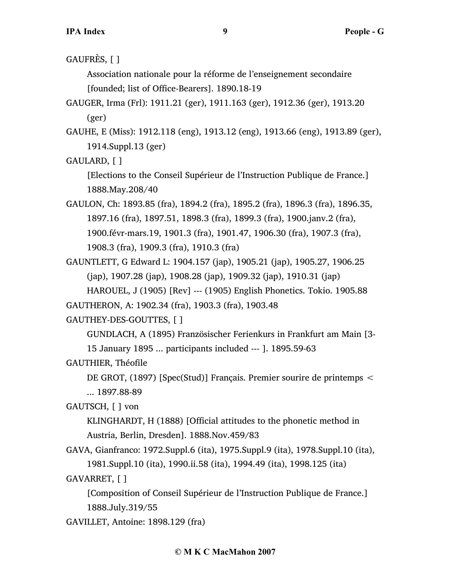GAUFRÈS, [ ]

Association nationale pour la réforme de l'enseignement secondaire [founded; list of Office-Bearers]. 1890.18-19

- GAUGER, Irma (Frl): 1911.21 (ger), 1911.163 (ger), 1912.36 (ger), 1913.20 (ger)
- GAUHE, E (Miss): 1912.118 (eng), 1913.12 (eng), 1913.66 (eng), 1913.89 (ger), 1914.Suppl.13 (ger)

GAULARD, [ ]

[Elections to the Conseil Supérieur de l'Instruction Publique de France.] 1888.May.208/40

GAULON, Ch: 1893.85 (fra), 1894.2 (fra), 1895.2 (fra), 1896.3 (fra), 1896.35, 1897.16 (fra), 1897.51, 1898.3 (fra), 1899.3 (fra), 1900.janv.2 (fra), 1900.févr-mars.19, 1901.3 (fra), 1901.47, 1906.30 (fra), 1907.3 (fra), 1908.3 (fra), 1909.3 (fra), 1910.3 (fra)

GAUNTLETT, G Edward L: 1904.157 (jap), 1905.21 (jap), 1905.27, 1906.25 (jap), 1907.28 (jap), 1908.28 (jap), 1909.32 (jap), 1910.31 (jap)

HAROUEL, J (1905) [Rev] --- (1905) English Phonetics. Tokio. 1905.88 GAUTHERON, A: 1902.34 (fra), 1903.3 (fra), 1903.48

GAUTHEY-DES-GOUTTES, [ ]

GUNDLACH, A (1895) Französischer Ferienkurs in Frankfurt am Main [3- 15 January 1895 ... participants included --- ]. 1895.59-63

GAUTHIER, Théofile

DE GROT, (1897) [Spec(Stud)] Français. Premier sourire de printemps < ... 1897.88-89

GAUTSCH, [ ] von

KLINGHARDT, H (1888) [Official attitudes to the phonetic method in Austria, Berlin, Dresden]. 1888.Nov.459/83

GAVA, Gianfranco: 1972.Suppl.6 (ita), 1975.Suppl.9 (ita), 1978.Suppl.10 (ita), 1981.Suppl.10 (ita), 1990.ii.58 (ita), 1994.49 (ita), 1998.125 (ita)

GAVARRET, [ ]

[Composition of Conseil Supérieur de l'Instruction Publique de France.] 1888.July.319/55

GAVILLET, Antoine: 1898.129 (fra)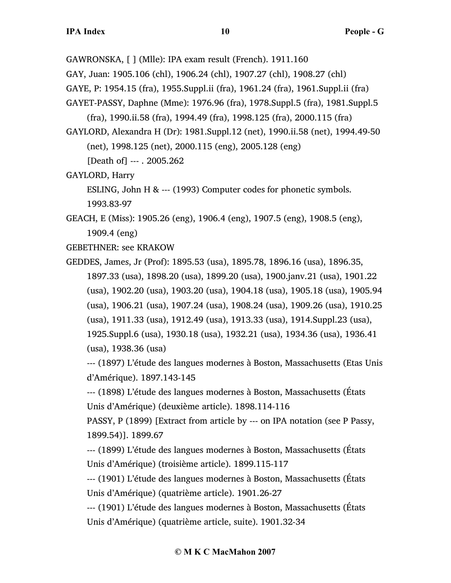GAWRONSKA, [ ] (Mlle): IPA exam result (French). 1911.160

GAY, Juan: 1905.106 (chl), 1906.24 (chl), 1907.27 (chl), 1908.27 (chl)

GAYE, P: 1954.15 (fra), 1955.Suppl.ii (fra), 1961.24 (fra), 1961.Suppl.ii (fra)

GAYET-PASSY, Daphne (Mme): 1976.96 (fra), 1978.Suppl.5 (fra), 1981.Suppl.5

(fra), 1990.ii.58 (fra), 1994.49 (fra), 1998.125 (fra), 2000.115 (fra)

GAYLORD, Alexandra H (Dr): 1981.Suppl.12 (net), 1990.ii.58 (net), 1994.49-50 (net), 1998.125 (net), 2000.115 (eng), 2005.128 (eng)

[Death of] --- . 2005.262

GAYLORD, Harry

ESLING, John H & --- (1993) Computer codes for phonetic symbols. 1993.83-97

GEACH, E (Miss): 1905.26 (eng), 1906.4 (eng), 1907.5 (eng), 1908.5 (eng), 1909.4 (eng)

GEBETHNER: see KRAKOW

GEDDES, James, Jr (Prof): 1895.53 (usa), 1895.78, 1896.16 (usa), 1896.35, 1897.33 (usa), 1898.20 (usa), 1899.20 (usa), 1900.janv.21 (usa), 1901.22 (usa), 1902.20 (usa), 1903.20 (usa), 1904.18 (usa), 1905.18 (usa), 1905.94 (usa), 1906.21 (usa), 1907.24 (usa), 1908.24 (usa), 1909.26 (usa), 1910.25 (usa), 1911.33 (usa), 1912.49 (usa), 1913.33 (usa), 1914.Suppl.23 (usa), 1925.Suppl.6 (usa), 1930.18 (usa), 1932.21 (usa), 1934.36 (usa), 1936.41 (usa), 1938.36 (usa)

--- (1897) L'étude des langues modernes à Boston, Massachusetts (Etas Unis d'Amérique). 1897.143-145

--- (1898) L'étude des langues modernes à Boston, Massachusetts (États Unis d'Amérique) (deuxième article). 1898.114-116

PASSY, P (1899) [Extract from article by --- on IPA notation (see P Passy, 1899.54)]. 1899.67

--- (1899) L'étude des langues modernes à Boston, Massachusetts (États Unis d'Amérique) (troisième article). 1899.115-117

--- (1901) L'étude des langues modernes à Boston, Massachusetts (États Unis d'Amérique) (quatrième article). 1901.26-27

--- (1901) L'étude des langues modernes à Boston, Massachusetts (États Unis d'Amérique) (quatrième article, suite). 1901.32-34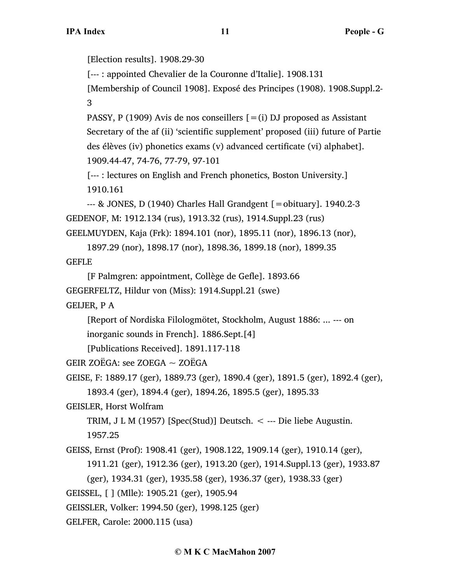[Election results]. 1908.29-30

[--- : appointed Chevalier de la Couronne d'Italie]. 1908.131

[Membership of Council 1908]. Exposé des Principes (1908). 1908.Suppl.2- 3

PASSY, P (1909) Avis de nos conseillers  $[=(i)$  DJ proposed as Assistant Secretary of the af (ii) 'scientific supplement' proposed (iii) future of Partie des élèves (iv) phonetics exams (v) advanced certificate (vi) alphabet]. 1909.44-47, 74-76, 77-79, 97-101

[--- : lectures on English and French phonetics, Boston University.] 1910.161

```
--- & JONES, D (1940) Charles Hall Grandgent [= obituary]. 1940.2-3
GEDENOF, M: 1912.134 (rus), 1913.32 (rus), 1914.Suppl.23 (rus)
GEELMUYDEN, Kaja (Frk): 1894.101 (nor), 1895.11 (nor), 1896.13 (nor),
```
1897.29 (nor), 1898.17 (nor), 1898.36, 1899.18 (nor), 1899.35 GEFLE

```
[F Palmgren: appointment, Collège de Gefle]. 1893.66
GEGERFELTZ, Hildur von (Miss): 1914.Suppl.21 (swe)
```
GEIJER, P A

[Report of Nordiska Filologmötet, Stockholm, August 1886: ... --- on inorganic sounds in French]. 1886.Sept.[4]

[Publications Received]. 1891.117-118

GEIR ZOËGA: see ZOEGA ~ ZOËGA

```
GEISE, F: 1889.17 (ger), 1889.73 (ger), 1890.4 (ger), 1891.5 (ger), 1892.4 (ger),
```
1893.4 (ger), 1894.4 (ger), 1894.26, 1895.5 (ger), 1895.33

GEISLER, Horst Wolfram

TRIM, J L M (1957) [Spec(Stud)] Deutsch.  $\lt$  --- Die liebe Augustin. 1957.25

GEISS, Ernst (Prof): 1908.41 (ger), 1908.122, 1909.14 (ger), 1910.14 (ger),

1911.21 (ger), 1912.36 (ger), 1913.20 (ger), 1914.Suppl.13 (ger), 1933.87

(ger), 1934.31 (ger), 1935.58 (ger), 1936.37 (ger), 1938.33 (ger)

GEISSEL, [ ] (Mlle): 1905.21 (ger), 1905.94

GEISSLER, Volker: 1994.50 (ger), 1998.125 (ger)

GELFER, Carole: 2000.115 (usa)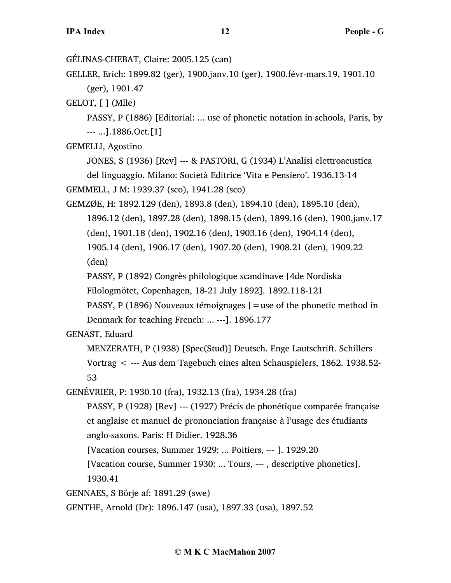GÉLINAS-CHEBAT, Claire: 2005.125 (can)

GELLER, Erich: 1899.82 (ger), 1900.janv.10 (ger), 1900.févr-mars.19, 1901.10 (ger), 1901.47

GELOT, [ ] (Mlle)

PASSY, P (1886) [Editorial: ... use of phonetic notation in schools, Paris, by --- ...].1886.Oct.[1]

GEMELLI, Agostino

JONES, S (1936) [Rev] --- & PASTORI, G (1934) L'Analisi elettroacustica del linguaggio. Milano: Società Editrice 'Vita e Pensiero'. 1936.13-14

```
GEMMELL, J M: 1939.37 (sco), 1941.28 (sco)
```
GEMZØE, H: 1892.129 (den), 1893.8 (den), 1894.10 (den), 1895.10 (den), 1896.12 (den), 1897.28 (den), 1898.15 (den), 1899.16 (den), 1900.janv.17 (den), 1901.18 (den), 1902.16 (den), 1903.16 (den), 1904.14 (den), 1905.14 (den), 1906.17 (den), 1907.20 (den), 1908.21 (den), 1909.22 (den)

PASSY, P (1892) Congrès philologique scandinave [4de Nordiska

Filologmötet, Copenhagen, 18-21 July 1892]. 1892.118-121

PASSY, P (1896) Nouveaux témoignages [=use of the phonetic method in

Denmark for teaching French: ... ---]. 1896.177

### GENAST, Eduard

MENZERATH, P (1938) [Spec(Stud)] Deutsch. Enge Lautschrift. Schillers Vortrag < --- Aus dem Tagebuch eines alten Schauspielers, 1862. 1938.52- 53

GENÉVRIER, P: 1930.10 (fra), 1932.13 (fra), 1934.28 (fra)

PASSY, P (1928) [Rev] --- (1927) Précis de phonétique comparée française et anglaise et manuel de prononciation française à l'usage des étudiants anglo-saxons. Paris: H Didier. 1928.36

[Vacation courses, Summer 1929: ... Poitiers, --- ]. 1929.20

[Vacation course, Summer 1930: ... Tours, --- , descriptive phonetics]. 1930.41

GENNAES, S Börje af: 1891.29 (swe)

GENTHE, Arnold (Dr): 1896.147 (usa), 1897.33 (usa), 1897.52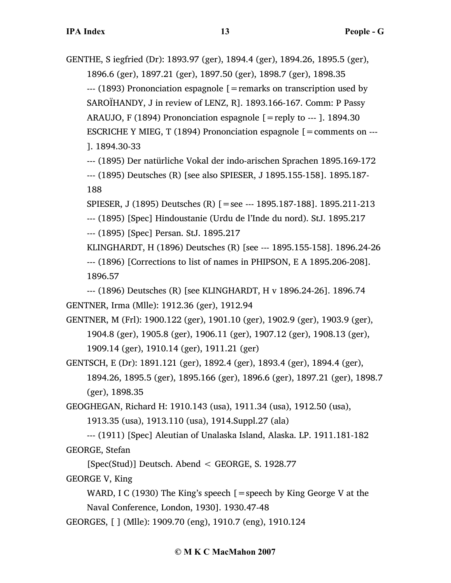GENTHE, S iegfried (Dr): 1893.97 (ger), 1894.4 (ger), 1894.26, 1895.5 (ger), 1896.6 (ger), 1897.21 (ger), 1897.50 (ger), 1898.7 (ger), 1898.35  $-$ -- (1893) Prononciation espagnole  $\beta$  = remarks on transcription used by SAROÏHANDY, J in review of LENZ, R]. 1893.166-167. Comm: P Passy ARAUJO, F (1894) Prononciation espagnole [=reply to --- ]. 1894.30 ESCRICHE Y MIEG, T (1894) Prononciation espagnole  $[=$  comments on  $--$ ]. 1894.30-33

--- (1895) Der natürliche Vokal der indo-arischen Sprachen 1895.169-172 --- (1895) Deutsches (R) [see also SPIESER, J 1895.155-158]. 1895.187- 188

SPIESER, J (1895) Deutsches (R) [=see --- 1895.187-188]. 1895.211-213

--- (1895) [Spec] Hindoustanie (Urdu de l'Inde du nord). StJ. 1895.217

--- (1895) [Spec] Persan. StJ. 1895.217

KLINGHARDT, H (1896) Deutsches (R) [see --- 1895.155-158]. 1896.24-26 --- (1896) [Corrections to list of names in PHIPSON, E A 1895.206-208]. 1896.57

--- (1896) Deutsches (R) [see KLINGHARDT, H v 1896.24-26]. 1896.74 GENTNER, Irma (Mlle): 1912.36 (ger), 1912.94

GENTNER, M (Frl): 1900.122 (ger), 1901.10 (ger), 1902.9 (ger), 1903.9 (ger), 1904.8 (ger), 1905.8 (ger), 1906.11 (ger), 1907.12 (ger), 1908.13 (ger), 1909.14 (ger), 1910.14 (ger), 1911.21 (ger)

GENTSCH, E (Dr): 1891.121 (ger), 1892.4 (ger), 1893.4 (ger), 1894.4 (ger), 1894.26, 1895.5 (ger), 1895.166 (ger), 1896.6 (ger), 1897.21 (ger), 1898.7 (ger), 1898.35

GEOGHEGAN, Richard H: 1910.143 (usa), 1911.34 (usa), 1912.50 (usa),

1913.35 (usa), 1913.110 (usa), 1914.Suppl.27 (ala)

--- (1911) [Spec] Aleutian of Unalaska Island, Alaska. LP. 1911.181-182 GEORGE, Stefan

[Spec(Stud)] Deutsch. Abend < GEORGE, S. 1928.77

GEORGE V, King

WARD, I C (1930) The King's speech  $[$  = speech by King George V at the Naval Conference, London, 1930]. 1930.47-48

GEORGES, [ ] (Mlle): 1909.70 (eng), 1910.7 (eng), 1910.124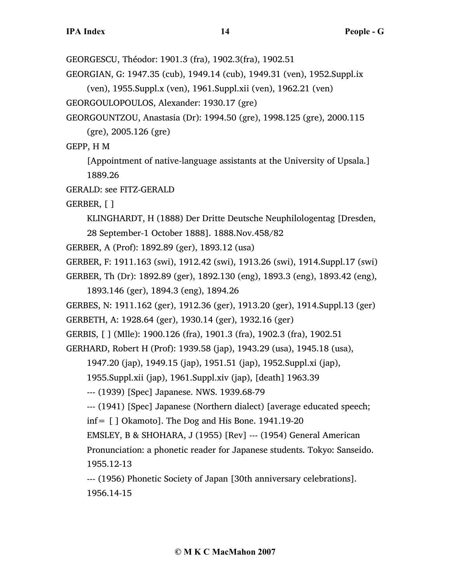GEORGESCU, Théodor: 1901.3 (fra), 1902.3(fra), 1902.51

GEORGIAN, G: 1947.35 (cub), 1949.14 (cub), 1949.31 (ven), 1952.Suppl.ix (ven), 1955.Suppl.x (ven), 1961.Suppl.xii (ven), 1962.21 (ven)

GEORGOULOPOULOS, Alexander: 1930.17 (gre)

GEORGOUNTZOU, Anastasia (Dr): 1994.50 (gre), 1998.125 (gre), 2000.115 (gre), 2005.126 (gre)

GEPP, H M

[Appointment of native-language assistants at the University of Upsala.] 1889.26

GERALD: see FITZ-GERALD

GERBER, [ ]

KLINGHARDT, H (1888) Der Dritte Deutsche Neuphilologentag [Dresden, 28 September-1 October 1888]. 1888.Nov.458/82

GERBER, A (Prof): 1892.89 (ger), 1893.12 (usa)

- GERBER, F: 1911.163 (swi), 1912.42 (swi), 1913.26 (swi), 1914.Suppl.17 (swi)
- GERBER, Th (Dr): 1892.89 (ger), 1892.130 (eng), 1893.3 (eng), 1893.42 (eng),
	- 1893.146 (ger), 1894.3 (eng), 1894.26
- GERBES, N: 1911.162 (ger), 1912.36 (ger), 1913.20 (ger), 1914.Suppl.13 (ger)

GERBETH, A: 1928.64 (ger), 1930.14 (ger), 1932.16 (ger)

GERBIS, [ ] (Mlle): 1900.126 (fra), 1901.3 (fra), 1902.3 (fra), 1902.51

GERHARD, Robert H (Prof): 1939.58 (jap), 1943.29 (usa), 1945.18 (usa),

1947.20 (jap), 1949.15 (jap), 1951.51 (jap), 1952.Suppl.xi (jap),

1955.Suppl.xii (jap), 1961.Suppl.xiv (jap), [death] 1963.39

--- (1939) [Spec] Japanese. NWS. 1939.68-79

--- (1941) [Spec] Japanese (Northern dialect) [average educated speech;

inf= [ ] Okamoto]. The Dog and His Bone. 1941.19-20

EMSLEY, B & SHOHARA, J (1955) [Rev] --- (1954) General American

Pronunciation: a phonetic reader for Japanese students. Tokyo: Sanseido. 1955.12-13

--- (1956) Phonetic Society of Japan [30th anniversary celebrations].

1956.14-15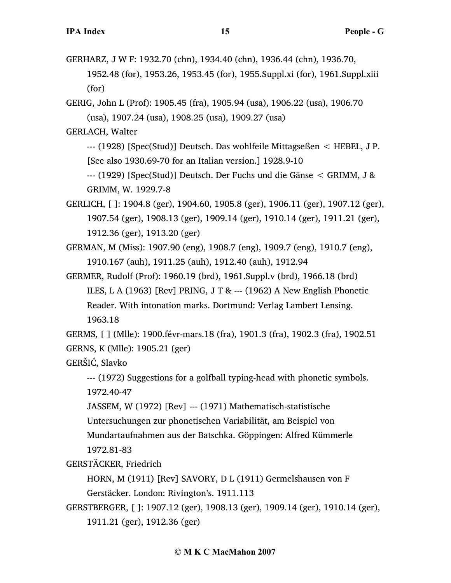GERHARZ, J W F: 1932.70 (chn), 1934.40 (chn), 1936.44 (chn), 1936.70, 1952.48 (for), 1953.26, 1953.45 (for), 1955.Suppl.xi (for), 1961.Suppl.xiii (for)

GERIG, John L (Prof): 1905.45 (fra), 1905.94 (usa), 1906.22 (usa), 1906.70 (usa), 1907.24 (usa), 1908.25 (usa), 1909.27 (usa)

GERLACH, Walter

--- (1928) [Spec(Stud)] Deutsch. Das wohlfeile Mittagseßen < HEBEL, J P. [See also 1930.69-70 for an Italian version.] 1928.9-10

--- (1929) [Spec(Stud)] Deutsch. Der Fuchs und die Gänse < GRIMM, J & GRIMM, W. 1929.7-8

GERLICH, [ ]: 1904.8 (ger), 1904.60, 1905.8 (ger), 1906.11 (ger), 1907.12 (ger), 1907.54 (ger), 1908.13 (ger), 1909.14 (ger), 1910.14 (ger), 1911.21 (ger), 1912.36 (ger), 1913.20 (ger)

GERMAN, M (Miss): 1907.90 (eng), 1908.7 (eng), 1909.7 (eng), 1910.7 (eng), 1910.167 (auh), 1911.25 (auh), 1912.40 (auh), 1912.94

GERMER, Rudolf (Prof): 1960.19 (brd), 1961.Suppl.v (brd), 1966.18 (brd) ILES, L A (1963) [Rev] PRING, J T & --- (1962) A New English Phonetic Reader. With intonation marks. Dortmund: Verlag Lambert Lensing. 1963.18

GERMS, [ ] (Mlle): 1900.févr-mars.18 (fra), 1901.3 (fra), 1902.3 (fra), 1902.51 GERNS, K (Mlle): 1905.21 (ger)

GERŠIĆ, Slavko

--- (1972) Suggestions for a golfball typing-head with phonetic symbols. 1972.40-47

JASSEM, W (1972) [Rev] --- (1971) Mathematisch-statistische

Untersuchungen zur phonetischen Variabilität, am Beispiel von

Mundartaufnahmen aus der Batschka. Göppingen: Alfred Kümmerle 1972.81-83

GERSTÄCKER, Friedrich

HORN, M (1911) [Rev] SAVORY, D L (1911) Germelshausen von F Gerstäcker. London: Rivington's. 1911.113

GERSTBERGER, [ ]: 1907.12 (ger), 1908.13 (ger), 1909.14 (ger), 1910.14 (ger), 1911.21 (ger), 1912.36 (ger)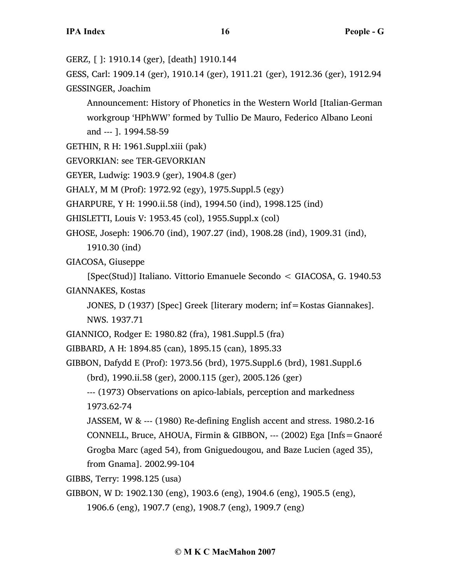GERZ, [ ]: 1910.14 (ger), [death] 1910.144

GESS, Carl: 1909.14 (ger), 1910.14 (ger), 1911.21 (ger), 1912.36 (ger), 1912.94 GESSINGER, Joachim

Announcement: History of Phonetics in the Western World [Italian-German workgroup 'HPhWW' formed by Tullio De Mauro, Federico Albano Leoni and --- ]. 1994.58-59

GETHIN, R H: 1961.Suppl.xiii (pak)

GEVORKIAN: see TER-GEVORKIAN

GEYER, Ludwig: 1903.9 (ger), 1904.8 (ger)

GHALY, M M (Prof): 1972.92 (egy), 1975.Suppl.5 (egy)

GHARPURE, Y H: 1990.ii.58 (ind), 1994.50 (ind), 1998.125 (ind)

GHISLETTI, Louis V: 1953.45 (col), 1955.Suppl.x (col)

GHOSE, Joseph: 1906.70 (ind), 1907.27 (ind), 1908.28 (ind), 1909.31 (ind),

1910.30 (ind)

GIACOSA, Giuseppe

[Spec(Stud)] Italiano. Vittorio Emanuele Secondo < GIACOSA, G. 1940.53 GIANNAKES, Kostas

JONES, D (1937) [Spec] Greek [literary modern; inf=Kostas Giannakes].

NWS. 1937.71

GIANNICO, Rodger E: 1980.82 (fra), 1981.Suppl.5 (fra)

GIBBARD, A H: 1894.85 (can), 1895.15 (can), 1895.33

GIBBON, Dafydd E (Prof): 1973.56 (brd), 1975.Suppl.6 (brd), 1981.Suppl.6

(brd), 1990.ii.58 (ger), 2000.115 (ger), 2005.126 (ger)

--- (1973) Observations on apico-labials, perception and markedness 1973.62-74

JASSEM, W & --- (1980) Re-defining English accent and stress. 1980.2-16 CONNELL, Bruce, AHOUA, Firmin & GIBBON, --- (2002) Ega [Infs=Gnaoré Grogba Marc (aged 54), from Gniguedougou, and Baze Lucien (aged 35),

from Gnama]. 2002.99-104

GIBBS, Terry: 1998.125 (usa)

GIBBON, W D: 1902.130 (eng), 1903.6 (eng), 1904.6 (eng), 1905.5 (eng),

1906.6 (eng), 1907.7 (eng), 1908.7 (eng), 1909.7 (eng)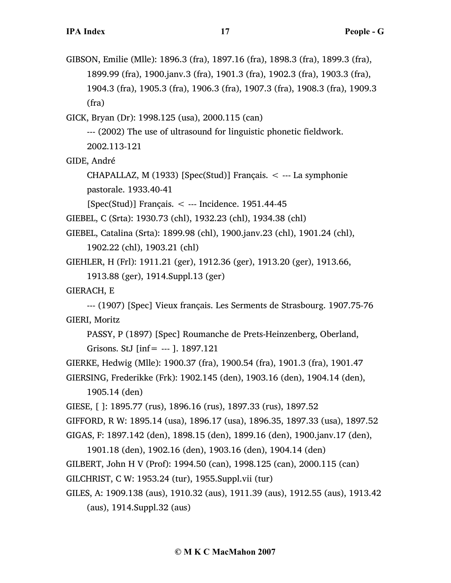GIBSON, Emilie (Mlle): 1896.3 (fra), 1897.16 (fra), 1898.3 (fra), 1899.3 (fra), 1899.99 (fra), 1900.janv.3 (fra), 1901.3 (fra), 1902.3 (fra), 1903.3 (fra), 1904.3 (fra), 1905.3 (fra), 1906.3 (fra), 1907.3 (fra), 1908.3 (fra), 1909.3 (fra)

GICK, Bryan (Dr): 1998.125 (usa), 2000.115 (can)

--- (2002) The use of ultrasound for linguistic phonetic fieldwork. 2002.113-121

GIDE, André

CHAPALLAZ, M  $(1933)$  [Spec(Stud)] Français.  $\lt$  --- La symphonie pastorale. 1933.40-41

 $[Spec(Stud)]$  Français.  $\lt$  --- Incidence. 1951.44-45

GIEBEL, C (Srta): 1930.73 (chl), 1932.23 (chl), 1934.38 (chl)

GIEBEL, Catalina (Srta): 1899.98 (chl), 1900.janv.23 (chl), 1901.24 (chl),

1902.22 (chl), 1903.21 (chl)

GIEHLER, H (Frl): 1911.21 (ger), 1912.36 (ger), 1913.20 (ger), 1913.66,

1913.88 (ger), 1914.Suppl.13 (ger)

GIERACH, E

--- (1907) [Spec] Vieux français. Les Serments de Strasbourg. 1907.75-76 GIERI, Moritz

PASSY, P (1897) [Spec] Roumanche de Prets-Heinzenberg, Oberland, Grisons. StJ [inf= --- ]. 1897.121

GIERKE, Hedwig (Mlle): 1900.37 (fra), 1900.54 (fra), 1901.3 (fra), 1901.47 GIERSING, Frederikke (Frk): 1902.145 (den), 1903.16 (den), 1904.14 (den),

1905.14 (den)

GIESE, [ ]: 1895.77 (rus), 1896.16 (rus), 1897.33 (rus), 1897.52

GIFFORD, R W: 1895.14 (usa), 1896.17 (usa), 1896.35, 1897.33 (usa), 1897.52

GIGAS, F: 1897.142 (den), 1898.15 (den), 1899.16 (den), 1900.janv.17 (den),

1901.18 (den), 1902.16 (den), 1903.16 (den), 1904.14 (den) GILBERT, John H V (Prof): 1994.50 (can), 1998.125 (can), 2000.115 (can)

GILCHRIST, C W: 1953.24 (tur), 1955.Suppl.vii (tur)

```
GILES, A: 1909.138 (aus), 1910.32 (aus), 1911.39 (aus), 1912.55 (aus), 1913.42
     (aus), 1914.Suppl.32 (aus)
```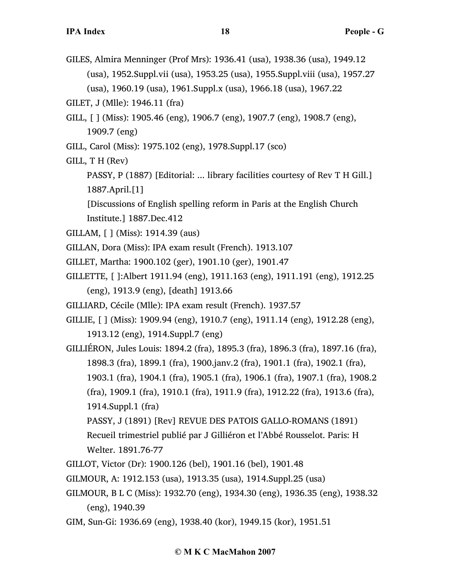- GILES, Almira Menninger (Prof Mrs): 1936.41 (usa), 1938.36 (usa), 1949.12 (usa), 1952.Suppl.vii (usa), 1953.25 (usa), 1955.Suppl.viii (usa), 1957.27 (usa), 1960.19 (usa), 1961.Suppl.x (usa), 1966.18 (usa), 1967.22
- GILET, J (Mlle): 1946.11 (fra)
- GILL, [ ] (Miss): 1905.46 (eng), 1906.7 (eng), 1907.7 (eng), 1908.7 (eng), 1909.7 (eng)
- GILL, Carol (Miss): 1975.102 (eng), 1978.Suppl.17 (sco)
- GILL, T H (Rev)
	- PASSY, P (1887) [Editorial: ... library facilities courtesy of Rev T H Gill.] 1887.April.[1]

[Discussions of English spelling reform in Paris at the English Church Institute.] 1887.Dec.412

- GILLAM, [ ] (Miss): 1914.39 (aus)
- GILLAN, Dora (Miss): IPA exam result (French). 1913.107
- GILLET, Martha: 1900.102 (ger), 1901.10 (ger), 1901.47
- GILLETTE, [ ]:Albert 1911.94 (eng), 1911.163 (eng), 1911.191 (eng), 1912.25 (eng), 1913.9 (eng), [death] 1913.66
- GILLIARD, Cécile (Mlle): IPA exam result (French). 1937.57
- GILLIE, [ ] (Miss): 1909.94 (eng), 1910.7 (eng), 1911.14 (eng), 1912.28 (eng), 1913.12 (eng), 1914.Suppl.7 (eng)
- GILLIÉRON, Jules Louis: 1894.2 (fra), 1895.3 (fra), 1896.3 (fra), 1897.16 (fra), 1898.3 (fra), 1899.1 (fra), 1900.janv.2 (fra), 1901.1 (fra), 1902.1 (fra), 1903.1 (fra), 1904.1 (fra), 1905.1 (fra), 1906.1 (fra), 1907.1 (fra), 1908.2 (fra), 1909.1 (fra), 1910.1 (fra), 1911.9 (fra), 1912.22 (fra), 1913.6 (fra), 1914.Suppl.1 (fra) PASSY, J (1891) [Rev] REVUE DES PATOIS GALLO-ROMANS (1891)
	- Recueil trimestriel publié par J Gilliéron et l'Abbé Rousselot. Paris: H Welter. 1891.76-77
- GILLOT, Victor (Dr): 1900.126 (bel), 1901.16 (bel), 1901.48
- GILMOUR, A: 1912.153 (usa), 1913.35 (usa), 1914.Suppl.25 (usa)
- GILMOUR, B L C (Miss): 1932.70 (eng), 1934.30 (eng), 1936.35 (eng), 1938.32 (eng), 1940.39
- GIM, Sun-Gi: 1936.69 (eng), 1938.40 (kor), 1949.15 (kor), 1951.51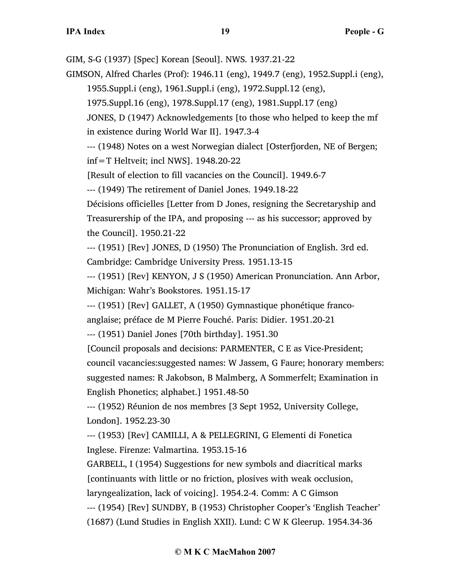GIM, S-G (1937) [Spec] Korean [Seoul]. NWS. 1937.21-22

GIMSON, Alfred Charles (Prof): 1946.11 (eng), 1949.7 (eng), 1952.Suppl.i (eng), 1955.Suppl.i (eng), 1961.Suppl.i (eng), 1972.Suppl.12 (eng),

1975.Suppl.16 (eng), 1978.Suppl.17 (eng), 1981.Suppl.17 (eng)

JONES, D (1947) Acknowledgements [to those who helped to keep the mf in existence during World War II]. 1947.3-4

--- (1948) Notes on a west Norwegian dialect [Osterfjorden, NE of Bergen; inf=T Heltveit; incl NWS]. 1948.20-22

[Result of election to fill vacancies on the Council]. 1949.6-7

--- (1949) The retirement of Daniel Jones. 1949.18-22

Décisions officielles [Letter from D Jones, resigning the Secretaryship and Treasurership of the IPA, and proposing --- as his successor; approved by the Council]. 1950.21-22

--- (1951) [Rev] JONES, D (1950) The Pronunciation of English. 3rd ed. Cambridge: Cambridge University Press. 1951.13-15

--- (1951) [Rev] KENYON, J S (1950) American Pronunciation. Ann Arbor, Michigan: Wahr's Bookstores. 1951.15-17

--- (1951) [Rev] GALLET, A (1950) Gymnastique phonétique franco-

anglaise; préface de M Pierre Fouché. Paris: Didier. 1951.20-21

--- (1951) Daniel Jones [70th birthday]. 1951.30

[Council proposals and decisions: PARMENTER, C E as Vice-President; council vacancies:suggested names: W Jassem, G Faure; honorary members: suggested names: R Jakobson, B Malmberg, A Sommerfelt; Examination in English Phonetics; alphabet.] 1951.48-50

--- (1952) Réunion de nos membres [3 Sept 1952, University College, London]. 1952.23-30

--- (1953) [Rev] CAMILLI, A & PELLEGRINI, G Elementi di Fonetica Inglese. Firenze: Valmartina. 1953.15-16

GARBELL, I (1954) Suggestions for new symbols and diacritical marks [continuants with little or no friction, plosives with weak occlusion,

laryngealization, lack of voicing]. 1954.2-4. Comm: A C Gimson

--- (1954) [Rev] SUNDBY, B (1953) Christopher Cooper's 'English Teacher'

(1687) (Lund Studies in English XXII). Lund: C W K Gleerup. 1954.34-36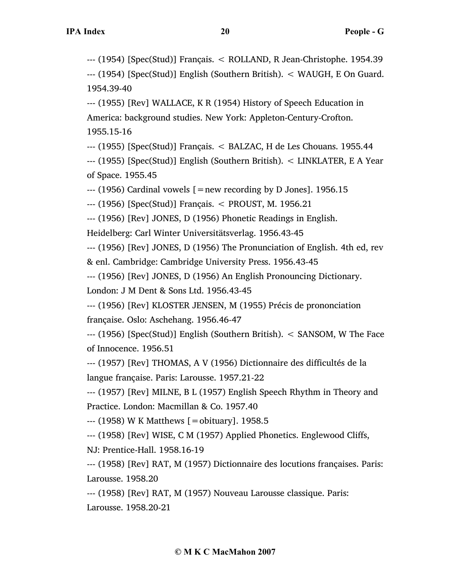--- (1954) [Spec(Stud)] Français. < ROLLAND, R Jean-Christophe. 1954.39

--- (1954) [Spec(Stud)] English (Southern British). < WAUGH, E On Guard. 1954.39-40

--- (1955) [Rev] WALLACE, K R (1954) History of Speech Education in America: background studies. New York: Appleton-Century-Crofton. 1955.15-16

--- (1955) [Spec(Stud)] Français. < BALZAC, H de Les Chouans. 1955.44

--- (1955) [Spec(Stud)] English (Southern British). < LINKLATER, E A Year of Space. 1955.45

 $-$ -- (1956) Cardinal vowels  $[$  = new recording by D Jones]. 1956.15

--- (1956) [Spec(Stud)] Français. < PROUST, M. 1956.21

--- (1956) [Rev] JONES, D (1956) Phonetic Readings in English.

Heidelberg: Carl Winter Universitätsverlag. 1956.43-45

--- (1956) [Rev] JONES, D (1956) The Pronunciation of English. 4th ed, rev & enl. Cambridge: Cambridge University Press. 1956.43-45

--- (1956) [Rev] JONES, D (1956) An English Pronouncing Dictionary.

London: J M Dent & Sons Ltd. 1956.43-45

--- (1956) [Rev] KLOSTER JENSEN, M (1955) Précis de prononciation française. Oslo: Aschehang. 1956.46-47

--- (1956) [Spec(Stud)] English (Southern British). < SANSOM, W The Face of Innocence. 1956.51

--- (1957) [Rev] THOMAS, A V (1956) Dictionnaire des difficultés de la langue française. Paris: Larousse. 1957.21-22

--- (1957) [Rev] MILNE, B L (1957) English Speech Rhythm in Theory and Practice. London: Macmillan & Co. 1957.40

--- (1958) W K Matthews [=obituary]. 1958.5

--- (1958) [Rev] WISE, C M (1957) Applied Phonetics. Englewood Cliffs, NJ: Prentice-Hall. 1958.16-19

--- (1958) [Rev] RAT, M (1957) Dictionnaire des locutions françaises. Paris: Larousse. 1958.20

--- (1958) [Rev] RAT, M (1957) Nouveau Larousse classique. Paris: Larousse. 1958.20-21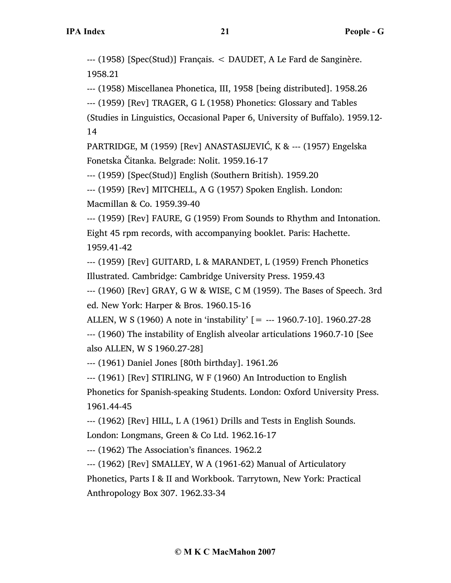--- (1958) [Spec(Stud)] Français. < DAUDET, A Le Fard de Sanginère. 1958.21

--- (1958) Miscellanea Phonetica, III, 1958 [being distributed]. 1958.26

--- (1959) [Rev] TRAGER, G L (1958) Phonetics: Glossary and Tables

(Studies in Linguistics, Occasional Paper 6, University of Buffalo). 1959.12- 14

PARTRIDGE, M (1959) [Rev] ANASTASIJEVIĆ, K & --- (1957) Engelska Fonetska Čitanka. Belgrade: Nolit. 1959.16-17

--- (1959) [Spec(Stud)] English (Southern British). 1959.20

--- (1959) [Rev] MITCHELL, A G (1957) Spoken English. London: Macmillan & Co. 1959.39-40

--- (1959) [Rev] FAURE, G (1959) From Sounds to Rhythm and Intonation. Eight 45 rpm records, with accompanying booklet. Paris: Hachette. 1959.41-42

--- (1959) [Rev] GUITARD, L & MARANDET, L (1959) French Phonetics Illustrated. Cambridge: Cambridge University Press. 1959.43

--- (1960) [Rev] GRAY, G W & WISE, C M (1959). The Bases of Speech. 3rd ed. New York: Harper & Bros. 1960.15-16

ALLEN, W S (1960) A note in 'instability' [= --- 1960.7-10]. 1960.27-28

--- (1960) The instability of English alveolar articulations 1960.7-10 [See also ALLEN, W S 1960.27-28]

--- (1961) Daniel Jones [80th birthday]. 1961.26

--- (1961) [Rev] STIRLING, W F (1960) An Introduction to English

Phonetics for Spanish-speaking Students. London: Oxford University Press. 1961.44-45

--- (1962) [Rev] HILL, L A (1961) Drills and Tests in English Sounds.

London: Longmans, Green & Co Ltd. 1962.16-17

--- (1962) The Association's finances. 1962.2

--- (1962) [Rev] SMALLEY, W A (1961-62) Manual of Articulatory Phonetics, Parts I & II and Workbook. Tarrytown, New York: Practical Anthropology Box 307. 1962.33-34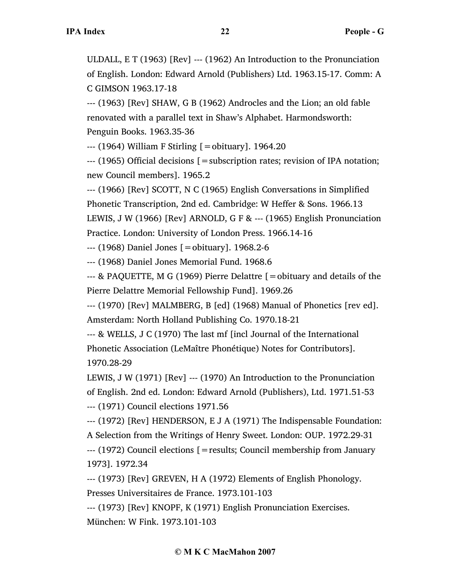ULDALL, E T (1963) [Rev] --- (1962) An Introduction to the Pronunciation of English. London: Edward Arnold (Publishers) Ltd. 1963.15-17. Comm: A C GIMSON 1963.17-18

--- (1963) [Rev] SHAW, G B (1962) Androcles and the Lion; an old fable renovated with a parallel text in Shaw's Alphabet. Harmondsworth: Penguin Books. 1963.35-36

 $-$ -- $(1964)$  William F Stirling  $[=$ obituary]. 1964.20

--- (1965) Official decisions [=subscription rates; revision of IPA notation; new Council members]. 1965.2

--- (1966) [Rev] SCOTT, N C (1965) English Conversations in Simplified Phonetic Transcription, 2nd ed. Cambridge: W Heffer & Sons. 1966.13 LEWIS, J W (1966) [Rev] ARNOLD, G F & --- (1965) English Pronunciation Practice. London: University of London Press. 1966.14-16

--- (1968) Daniel Jones [=obituary]. 1968.2-6

--- (1968) Daniel Jones Memorial Fund. 1968.6

 $-$ -- & PAQUETTE, M G (1969) Pierre Delattre  $\beta$  = obituary and details of the Pierre Delattre Memorial Fellowship Fund]. 1969.26

--- (1970) [Rev] MALMBERG, B [ed] (1968) Manual of Phonetics [rev ed]. Amsterdam: North Holland Publishing Co. 1970.18-21

--- & WELLS, J C (1970) The last mf [incl Journal of the International Phonetic Association (LeMaître Phonétique) Notes for Contributors]. 1970.28-29

LEWIS, J W (1971) [Rev] --- (1970) An Introduction to the Pronunciation of English. 2nd ed. London: Edward Arnold (Publishers), Ltd. 1971.51-53 --- (1971) Council elections 1971.56

--- (1972) [Rev] HENDERSON, E J A (1971) The Indispensable Foundation: A Selection from the Writings of Henry Sweet. London: OUP. 1972.29-31

--- (1972) Council elections [=results; Council membership from January 1973]. 1972.34

--- (1973) [Rev] GREVEN, H A (1972) Elements of English Phonology. Presses Universitaires de France. 1973.101-103

--- (1973) [Rev] KNOPF, K (1971) English Pronunciation Exercises. München: W Fink. 1973.101-103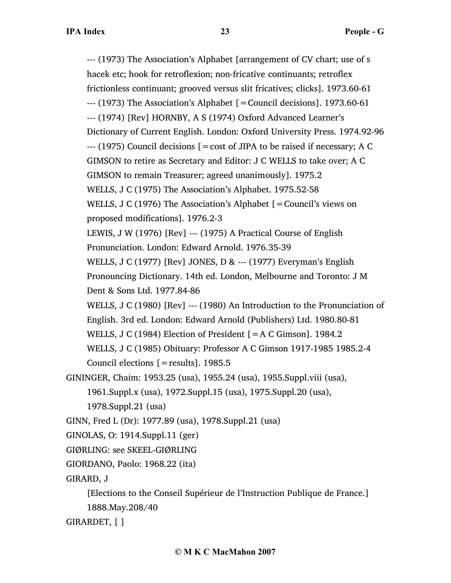--- (1973) The Association's Alphabet [arrangement of CV chart; use of s hacek etc; hook for retroflexion; non-fricative continuants; retroflex frictionless continuant; grooved versus slit fricatives; clicks]. 1973.60-61 --- (1973) The Association's Alphabet [=Council decisions]. 1973.60-61 --- (1974) [Rev] HORNBY, A S (1974) Oxford Advanced Learner's Dictionary of Current English. London: Oxford University Press. 1974.92-96 --- (1975) Council decisions [=cost of JIPA to be raised if necessary; A C GIMSON to retire as Secretary and Editor: J C WELLS to take over; A C GIMSON to remain Treasurer; agreed unanimously]. 1975.2 WELLS, J C (1975) The Association's Alphabet. 1975.52-58 WELLS, J C (1976) The Association's Alphabet  $[=$  Council's views on proposed modifications]. 1976.2-3 LEWIS, J W (1976) [Rev] --- (1975) A Practical Course of English Pronunciation. London: Edward Arnold. 1976.35-39 WELLS, J C (1977) [Rev] JONES, D & --- (1977) Everyman's English Pronouncing Dictionary. 14th ed. London, Melbourne and Toronto: J M Dent & Sons Ltd. 1977.84-86 WELLS, J C (1980) [Rev] --- (1980) An Introduction to the Pronunciation of English. 3rd ed. London: Edward Arnold (Publishers) Ltd. 1980.80-81 WELLS, J C (1984) Election of President [=A C Gimson]. 1984.2 WELLS, J C (1985) Obituary: Professor A C Gimson 1917-1985 1985.2-4 Council elections  $[=results]$ . 1985.5 GININGER, Chaim: 1953.25 (usa), 1955.24 (usa), 1955.Suppl.viii (usa), 1961.Suppl.x (usa), 1972.Suppl.15 (usa), 1975.Suppl.20 (usa), 1978.Suppl.21 (usa) GINN, Fred L (Dr): 1977.89 (usa), 1978.Suppl.21 (usa) GINOLAS, O: 1914.Suppl.11 (ger) GIØRLING: see SKEEL-GIØRLING

```
GIORDANO, Paolo: 1968.22 (ita)
```
GIRARD, J

[Elections to the Conseil Supérieur de l'Instruction Publique de France.] 1888.May.208/40

GIRARDET, [ ]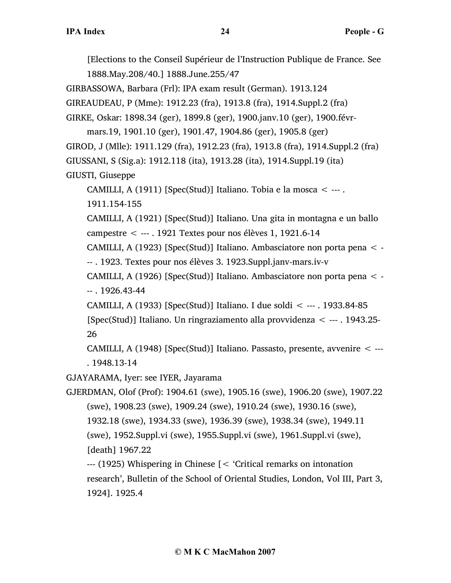[Elections to the Conseil Supérieur de l'Instruction Publique de France. See 1888.May.208/40.] 1888.June.255/47

GIRBASSOWA, Barbara (Frl): IPA exam result (German). 1913.124

GIREAUDEAU, P (Mme): 1912.23 (fra), 1913.8 (fra), 1914.Suppl.2 (fra)

GIRKE, Oskar: 1898.34 (ger), 1899.8 (ger), 1900.janv.10 (ger), 1900.févr-

mars.19, 1901.10 (ger), 1901.47, 1904.86 (ger), 1905.8 (ger) GIROD, J (Mlle): 1911.129 (fra), 1912.23 (fra), 1913.8 (fra), 1914.Suppl.2 (fra) GIUSSANI, S (Sig.a): 1912.118 (ita), 1913.28 (ita), 1914.Suppl.19 (ita) GIUSTI, Giuseppe

CAMILLI, A (1911) [Spec(Stud)] Italiano. Tobia e la mosca < --- . 1911.154-155

CAMILLI, A (1921) [Spec(Stud)] Italiano. Una gita in montagna e un ballo campestre < --- . 1921 Textes pour nos élèves 1, 1921.6-14

CAMILLI, A (1923) [Spec(Stud)] Italiano. Ambasciatore non porta pena < -

-- . 1923. Textes pour nos élèves 3. 1923.Suppl.janv-mars.iv-v

CAMILLI, A (1926) [Spec(Stud)] Italiano. Ambasciatore non porta pena < - -- . 1926.43-44

CAMILLI, A (1933) [Spec(Stud)] Italiano. I due soldi < --- . 1933.84-85 [Spec(Stud)] Italiano. Un ringraziamento alla provvidenza < --- . 1943.25- 26

CAMILLI, A (1948) [Spec(Stud)] Italiano. Passasto, presente, avvenire < --- . 1948.13-14

GJAYARAMA, Iyer: see IYER, Jayarama

GJERDMAN, Olof (Prof): 1904.61 (swe), 1905.16 (swe), 1906.20 (swe), 1907.22 (swe), 1908.23 (swe), 1909.24 (swe), 1910.24 (swe), 1930.16 (swe), 1932.18 (swe), 1934.33 (swe), 1936.39 (swe), 1938.34 (swe), 1949.11 (swe), 1952.Suppl.vi (swe), 1955.Suppl.vi (swe), 1961.Suppl.vi (swe), [death] 1967.22

--- (1925) Whispering in Chinese [< 'Critical remarks on intonation research', Bulletin of the School of Oriental Studies, London, Vol III, Part 3, 1924]. 1925.4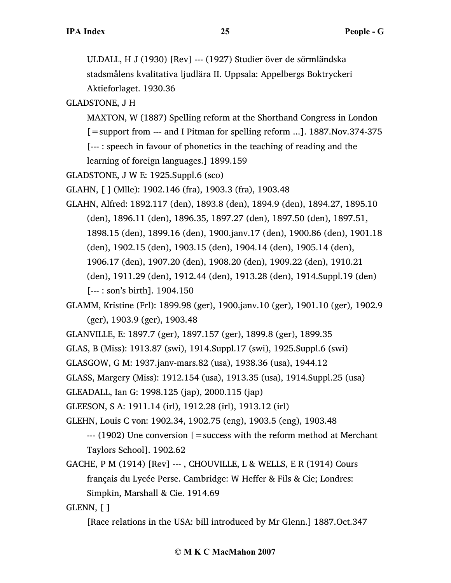ULDALL, H J (1930) [Rev] --- (1927) Studier över de sörmländska stadsmålens kvalitativa ljudlära II. Uppsala: Appelbergs Boktryckeri Aktieforlaget. 1930.36

GLADSTONE, J H

MAXTON, W (1887) Spelling reform at the Shorthand Congress in London

[=support from --- and I Pitman for spelling reform ...]. 1887.Nov.374-375

[--- : speech in favour of phonetics in the teaching of reading and the

learning of foreign languages.] 1899.159

GLADSTONE, J W E: 1925.Suppl.6 (sco)

GLAHN, [ ] (Mlle): 1902.146 (fra), 1903.3 (fra), 1903.48

GLAHN, Alfred: 1892.117 (den), 1893.8 (den), 1894.9 (den), 1894.27, 1895.10 (den), 1896.11 (den), 1896.35, 1897.27 (den), 1897.50 (den), 1897.51, 1898.15 (den), 1899.16 (den), 1900.janv.17 (den), 1900.86 (den), 1901.18 (den), 1902.15 (den), 1903.15 (den), 1904.14 (den), 1905.14 (den), 1906.17 (den), 1907.20 (den), 1908.20 (den), 1909.22 (den), 1910.21 (den), 1911.29 (den), 1912.44 (den), 1913.28 (den), 1914.Suppl.19 (den) [--- : son's birth]. 1904.150

GLAMM, Kristine (Frl): 1899.98 (ger), 1900.janv.10 (ger), 1901.10 (ger), 1902.9 (ger), 1903.9 (ger), 1903.48

GLANVILLE, E: 1897.7 (ger), 1897.157 (ger), 1899.8 (ger), 1899.35

GLAS, B (Miss): 1913.87 (swi), 1914.Suppl.17 (swi), 1925.Suppl.6 (swi)

GLASGOW, G M: 1937.janv-mars.82 (usa), 1938.36 (usa), 1944.12

GLASS, Margery (Miss): 1912.154 (usa), 1913.35 (usa), 1914.Suppl.25 (usa)

GLEADALL, Ian G: 1998.125 (jap), 2000.115 (jap)

GLEESON, S A: 1911.14 (irl), 1912.28 (irl), 1913.12 (irl)

GLEHN, Louis C von: 1902.34, 1902.75 (eng), 1903.5 (eng), 1903.48

 $-$ -- $(1902)$  Une conversion  $=$  success with the reform method at Merchant Taylors School]. 1902.62

GACHE, P M (1914) [Rev] --- , CHOUVILLE, L & WELLS, E R (1914) Cours français du Lycée Perse. Cambridge: W Heffer & Fils & Cie; Londres: Simpkin, Marshall & Cie. 1914.69

GLENN, [ ]

[Race relations in the USA: bill introduced by Mr Glenn.] 1887.Oct.347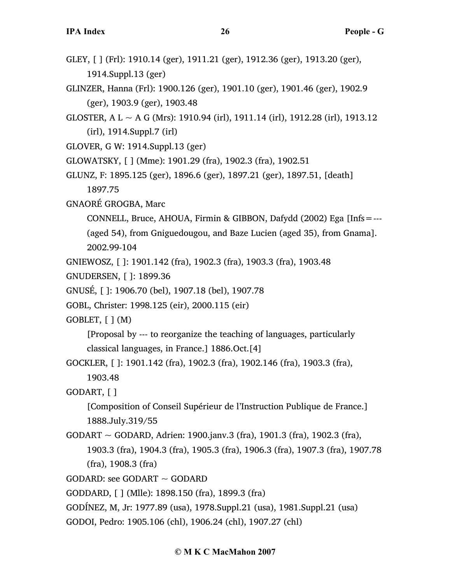- GLEY, [ ] (Frl): 1910.14 (ger), 1911.21 (ger), 1912.36 (ger), 1913.20 (ger), 1914.Suppl.13 (ger)
- GLINZER, Hanna (Frl): 1900.126 (ger), 1901.10 (ger), 1901.46 (ger), 1902.9 (ger), 1903.9 (ger), 1903.48
- GLOSTER, A L  $\sim$  A G (Mrs): 1910.94 (irl), 1911.14 (irl), 1912.28 (irl), 1913.12 (irl), 1914.Suppl.7 (irl)
- GLOVER, G W: 1914.Suppl.13 (ger)
- GLOWATSKY, [ ] (Mme): 1901.29 (fra), 1902.3 (fra), 1902.51
- GLUNZ, F: 1895.125 (ger), 1896.6 (ger), 1897.21 (ger), 1897.51, [death] 1897.75
- GNAORÉ GROGBA, Marc
	- CONNELL, Bruce, AHOUA, Firmin & GIBBON, Dafydd (2002) Ega [Infs=---
	- (aged 54), from Gniguedougou, and Baze Lucien (aged 35), from Gnama]. 2002.99-104
- GNIEWOSZ, [ ]: 1901.142 (fra), 1902.3 (fra), 1903.3 (fra), 1903.48
- GNUDERSEN, [ ]: 1899.36
- GNUSÉ, [ ]: 1906.70 (bel), 1907.18 (bel), 1907.78
- GOBL, Christer: 1998.125 (eir), 2000.115 (eir)

GOBLET, [ ] (M)

[Proposal by --- to reorganize the teaching of languages, particularly classical languages, in France.] 1886.Oct.[4]

GOCKLER, [ ]: 1901.142 (fra), 1902.3 (fra), 1902.146 (fra), 1903.3 (fra),

1903.48

```
GODART, [ ]
```
[Composition of Conseil Supérieur de l'Instruction Publique de France.] 1888.July.319/55

GODART  $\sim$  GODARD, Adrien: 1900.janv.3 (fra), 1901.3 (fra), 1902.3 (fra), 1903.3 (fra), 1904.3 (fra), 1905.3 (fra), 1906.3 (fra), 1907.3 (fra), 1907.78 (fra), 1908.3 (fra)

```
GODARD: see GODART \sim GODARD
```
GODDARD, [ ] (Mlle): 1898.150 (fra), 1899.3 (fra)

GODÍNEZ, M, Jr: 1977.89 (usa), 1978.Suppl.21 (usa), 1981.Suppl.21 (usa)

GODOI, Pedro: 1905.106 (chl), 1906.24 (chl), 1907.27 (chl)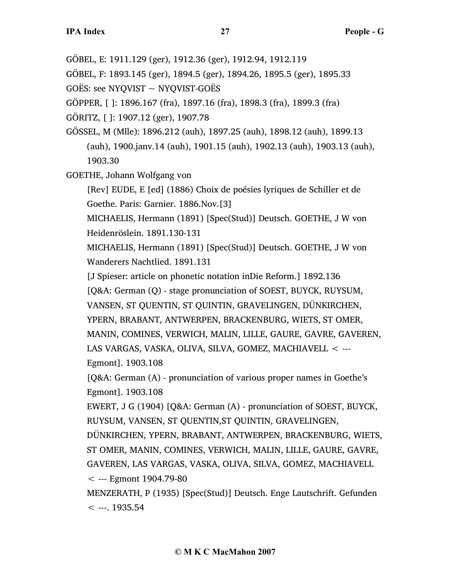GÖBEL, E: 1911.129 (ger), 1912.36 (ger), 1912.94, 1912.119

GÖBEL, F: 1893.145 (ger), 1894.5 (ger), 1894.26, 1895.5 (ger), 1895.33

GOËS: see NYQVIST  $\sim$  NYQVIST-GOËS

GÖPPER, [ ]: 1896.167 (fra), 1897.16 (fra), 1898.3 (fra), 1899.3 (fra)

GÖRITZ, [ ]: 1907.12 (ger), 1907.78

GÖSSEL, M (Mlle): 1896.212 (auh), 1897.25 (auh), 1898.12 (auh), 1899.13 (auh), 1900.janv.14 (auh), 1901.15 (auh), 1902.13 (auh), 1903.13 (auh), 1903.30

GOETHE, Johann Wolfgang von

[Rev] EUDE, E [ed] (1886) Choix de poésies lyriques de Schiller et de Goethe. Paris: Garnier. 1886.Nov.[3]

MICHAELIS, Hermann (1891) [Spec(Stud)] Deutsch. GOETHE, J W von Heidenröslein. 1891.130-131

MICHAELIS, Hermann (1891) [Spec(Stud)] Deutsch. GOETHE, J W von Wanderers Nachtlied. 1891.131

[J Spieser: article on phonetic notation inDie Reform.] 1892.136

[Q&A: German (Q) - stage pronunciation of SOEST, BUYCK, RUYSUM, VANSEN, ST QUENTIN, ST QUINTIN, GRAVELINGEN, DÜNKIRCHEN, YPERN, BRABANT, ANTWERPEN, BRACKENBURG, WIETS, ST OMER, MANIN, COMINES, VERWICH, MALIN, LILLE, GAURE, GAVRE, GAVEREN,

LAS VARGAS, VASKA, OLIVA, SILVA, GOMEZ, MACHIAVELL < ---

Egmont]. 1903.108

[Q&A: German (A) - pronunciation of various proper names in Goethe's Egmont]. 1903.108

EWERT, J G (1904) [Q&A: German (A) - pronunciation of SOEST, BUYCK, RUYSUM, VANSEN, ST QUENTIN,ST QUINTIN, GRAVELINGEN,

DÜNKIRCHEN, YPERN, BRABANT, ANTWERPEN, BRACKENBURG, WIETS, ST OMER, MANIN, COMINES, VERWICH, MALIN, LILLE, GAURE, GAVRE, GAVEREN, LAS VARGAS, VASKA, OLIVA, SILVA, GOMEZ, MACHIAVELL

< --- Egmont 1904.79-80

MENZERATH, P (1935) [Spec(Stud)] Deutsch. Enge Lautschrift. Gefunden  $<$  ---. 1935.54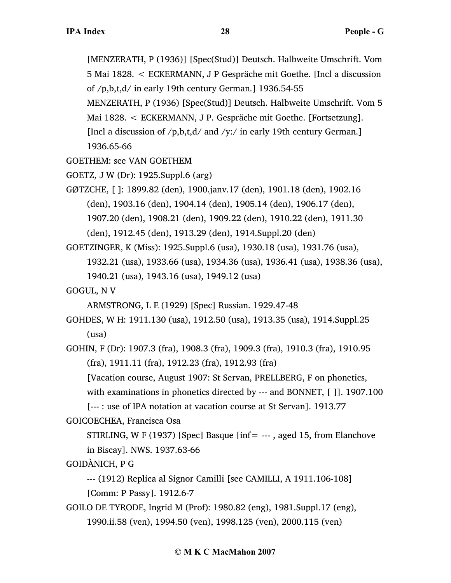[MENZERATH, P (1936)] [Spec(Stud)] Deutsch. Halbweite Umschrift. Vom 5 Mai 1828. < ECKERMANN, J P Gespräche mit Goethe. [Incl a discussion of /p,b,t,d/ in early 19th century German.] 1936.54-55 MENZERATH, P (1936) [Spec(Stud)] Deutsch. Halbweite Umschrift. Vom 5 Mai 1828. < ECKERMANN, J P. Gespräche mit Goethe. [Fortsetzung]. [Incl a discussion of  $/p$ , b, t, d and  $/$ y:  $/$  in early 19th century German.]

1936.65-66

GOETHEM: see VAN GOETHEM

GOETZ, J W (Dr): 1925.Suppl.6 (arg)

GØTZCHE, [ ]: 1899.82 (den), 1900.janv.17 (den), 1901.18 (den), 1902.16 (den), 1903.16 (den), 1904.14 (den), 1905.14 (den), 1906.17 (den), 1907.20 (den), 1908.21 (den), 1909.22 (den), 1910.22 (den), 1911.30

(den), 1912.45 (den), 1913.29 (den), 1914.Suppl.20 (den)

GOETZINGER, K (Miss): 1925.Suppl.6 (usa), 1930.18 (usa), 1931.76 (usa),

1932.21 (usa), 1933.66 (usa), 1934.36 (usa), 1936.41 (usa), 1938.36 (usa),

1940.21 (usa), 1943.16 (usa), 1949.12 (usa)

GOGUL, N V

ARMSTRONG, L E (1929) [Spec] Russian. 1929.47-48

GOHDES, W H: 1911.130 (usa), 1912.50 (usa), 1913.35 (usa), 1914.Suppl.25 (usa)

GOHIN, F (Dr): 1907.3 (fra), 1908.3 (fra), 1909.3 (fra), 1910.3 (fra), 1910.95 (fra), 1911.11 (fra), 1912.23 (fra), 1912.93 (fra)

[Vacation course, August 1907: St Servan, PRELLBERG, F on phonetics,

with examinations in phonetics directed by --- and BONNET, [ ]]. 1907.100

[--- : use of IPA notation at vacation course at St Servan]. 1913.77

GOICOECHEA, Francisca Osa

STIRLING, W F (1937) [Spec] Basque [inf=  $-$ --, aged 15, from Elanchove in Biscay]. NWS. 1937.63-66

GOIDÀNICH, P G

--- (1912) Replica al Signor Camilli [see CAMILLI, A 1911.106-108] [Comm: P Passy]. 1912.6-7

GOILO DE TYRODE, Ingrid M (Prof): 1980.82 (eng), 1981.Suppl.17 (eng), 1990.ii.58 (ven), 1994.50 (ven), 1998.125 (ven), 2000.115 (ven)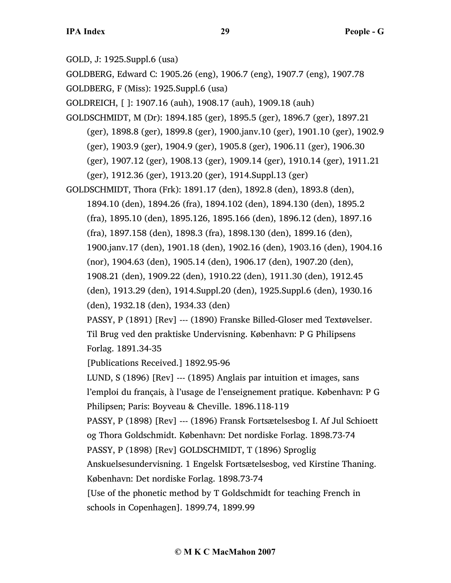GOLD, J: 1925.Suppl.6 (usa)

GOLDBERG, Edward C: 1905.26 (eng), 1906.7 (eng), 1907.7 (eng), 1907.78

GOLDBERG, F (Miss): 1925.Suppl.6 (usa)

GOLDREICH, [ ]: 1907.16 (auh), 1908.17 (auh), 1909.18 (auh)

GOLDSCHMIDT, M (Dr): 1894.185 (ger), 1895.5 (ger), 1896.7 (ger), 1897.21 (ger), 1898.8 (ger), 1899.8 (ger), 1900.janv.10 (ger), 1901.10 (ger), 1902.9 (ger), 1903.9 (ger), 1904.9 (ger), 1905.8 (ger), 1906.11 (ger), 1906.30 (ger), 1907.12 (ger), 1908.13 (ger), 1909.14 (ger), 1910.14 (ger), 1911.21 (ger), 1912.36 (ger), 1913.20 (ger), 1914.Suppl.13 (ger)

GOLDSCHMIDT, Thora (Frk): 1891.17 (den), 1892.8 (den), 1893.8 (den), 1894.10 (den), 1894.26 (fra), 1894.102 (den), 1894.130 (den), 1895.2 (fra), 1895.10 (den), 1895.126, 1895.166 (den), 1896.12 (den), 1897.16 (fra), 1897.158 (den), 1898.3 (fra), 1898.130 (den), 1899.16 (den), 1900.janv.17 (den), 1901.18 (den), 1902.16 (den), 1903.16 (den), 1904.16 (nor), 1904.63 (den), 1905.14 (den), 1906.17 (den), 1907.20 (den), 1908.21 (den), 1909.22 (den), 1910.22 (den), 1911.30 (den), 1912.45 (den), 1913.29 (den), 1914.Suppl.20 (den), 1925.Suppl.6 (den), 1930.16 (den), 1932.18 (den), 1934.33 (den) PASSY, P (1891) [Rev] --- (1890) Franske Billed-Gloser med Textøvelser. Til Brug ved den praktiske Undervisning. København: P G Philipsens Forlag. 1891.34-35 [Publications Received.] 1892.95-96 LUND, S (1896) [Rev] --- (1895) Anglais par intuition et images, sans l'emploi du français, à l'usage de l'enseignement pratique. København: P G Philipsen; Paris: Boyveau & Cheville. 1896.118-119 PASSY, P (1898) [Rev] --- (1896) Fransk Fortsætelsesbog I. Af Jul Schioett og Thora Goldschmidt. København: Det nordiske Forlag. 1898.73-74 PASSY, P (1898) [Rev] GOLDSCHMIDT, T (1896) Sproglig Anskuelsesundervisning. 1 Engelsk Fortsætelsesbog, ved Kirstine Thaning. København: Det nordiske Forlag. 1898.73-74 [Use of the phonetic method by T Goldschmidt for teaching French in

schools in Copenhagen]. 1899.74, 1899.99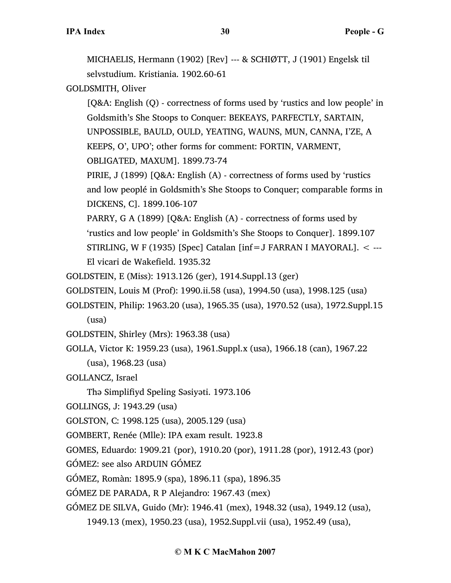MICHAELIS, Hermann (1902) [Rev] --- & SCHIØTT, J (1901) Engelsk til selvstudium. Kristiania. 1902.60-61

GOLDSMITH, Oliver

[Q&A: English (Q) - correctness of forms used by 'rustics and low people' in Goldsmith's She Stoops to Conquer: BEKEAYS, PARFECTLY, SARTAIN, UNPOSSIBLE, BAULD, OULD, YEATING, WAUNS, MUN, CANNA, I'ZE, A KEEPS, O', UPO'; other forms for comment: FORTIN, VARMENT,

OBLIGATED, MAXUM]. 1899.73-74

PIRIE, J (1899) [Q&A: English (A) - correctness of forms used by 'rustics and low peoplé in Goldsmith's She Stoops to Conquer; comparable forms in DICKENS, C]. 1899.106-107

- PARRY, G A (1899) [Q&A: English (A) correctness of forms used by 'rustics and low people' in Goldsmith's She Stoops to Conquer]. 1899.107 STIRLING, W F (1935) [Spec] Catalan  $\text{inf} = \text{J}$  FARRAN I MAYORAL].  $\lt$  ---El vicari de Wakefield. 1935.32
- GOLDSTEIN, E (Miss): 1913.126 (ger), 1914.Suppl.13 (ger)
- GOLDSTEIN, Louis M (Prof): 1990.ii.58 (usa), 1994.50 (usa), 1998.125 (usa)
- GOLDSTEIN, Philip: 1963.20 (usa), 1965.35 (usa), 1970.52 (usa), 1972.Suppl.15 (usa)
- GOLDSTEIN, Shirley (Mrs): 1963.38 (usa)
- GOLLA, Victor K: 1959.23 (usa), 1961.Suppl.x (usa), 1966.18 (can), 1967.22 (usa), 1968.23 (usa)
- GOLLANCZ, Israel
	- Thə Simplifiyd Speling Səsiyəti. 1973.106
- GOLLINGS, J: 1943.29 (usa)
- GOLSTON, C: 1998.125 (usa), 2005.129 (usa)
- GOMBERT, Renée (Mlle): IPA exam result. 1923.8
- GOMES, Eduardo: 1909.21 (por), 1910.20 (por), 1911.28 (por), 1912.43 (por)
- GÓMEZ: see also ARDUIN GÓMEZ
- GÓMEZ, Romàn: 1895.9 (spa), 1896.11 (spa), 1896.35
- GÓMEZ DE PARADA, R P Alejandro: 1967.43 (mex)
- GÓMEZ DE SILVA, Guido (Mr): 1946.41 (mex), 1948.32 (usa), 1949.12 (usa),
	- 1949.13 (mex), 1950.23 (usa), 1952.Suppl.vii (usa), 1952.49 (usa),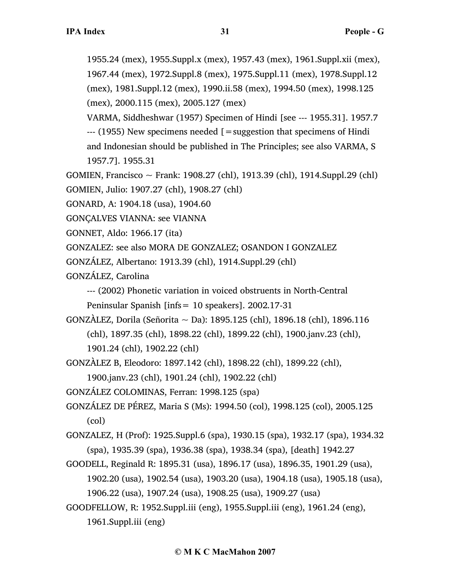1955.24 (mex), 1955.Suppl.x (mex), 1957.43 (mex), 1961.Suppl.xii (mex), 1967.44 (mex), 1972.Suppl.8 (mex), 1975.Suppl.11 (mex), 1978.Suppl.12 (mex), 1981.Suppl.12 (mex), 1990.ii.58 (mex), 1994.50 (mex), 1998.125

(mex), 2000.115 (mex), 2005.127 (mex)

VARMA, Siddheshwar (1957) Specimen of Hindi [see --- 1955.31]. 1957.7 --- (1955) New specimens needed [=suggestion that specimens of Hindi and Indonesian should be published in The Principles; see also VARMA, S 1957.7]. 1955.31

GOMIEN, Francisco ~ Frank: 1908.27 (chl), 1913.39 (chl), 1914.Suppl.29 (chl) GOMIEN, Julio: 1907.27 (chl), 1908.27 (chl)

- GONARD, A: 1904.18 (usa), 1904.60
- GONÇALVES VIANNA: see VIANNA

GONNET, Aldo: 1966.17 (ita)

GONZALEZ: see also MORA DE GONZALEZ; OSANDON I GONZALEZ

GONZÁLEZ, Albertano: 1913.39 (chl), 1914.Suppl.29 (chl)

GONZÁLEZ, Carolina

--- (2002) Phonetic variation in voiced obstruents in North-Central

Peninsular Spanish [infs= 10 speakers]. 2002.17-31

GONZÀLEZ, Dorila (Señorita ~ Da): 1895.125 (chl), 1896.18 (chl), 1896.116 (chl), 1897.35 (chl), 1898.22 (chl), 1899.22 (chl), 1900.janv.23 (chl), 1901.24 (chl), 1902.22 (chl)

GONZÀLEZ B, Eleodoro: 1897.142 (chl), 1898.22 (chl), 1899.22 (chl),

1900.janv.23 (chl), 1901.24 (chl), 1902.22 (chl)

GONZÁLEZ COLOMINAS, Ferran: 1998.125 (spa)

GONZÁLEZ DE PÉREZ, Maria S (Ms): 1994.50 (col), 1998.125 (col), 2005.125 (col)

GONZALEZ, H (Prof): 1925.Suppl.6 (spa), 1930.15 (spa), 1932.17 (spa), 1934.32 (spa), 1935.39 (spa), 1936.38 (spa), 1938.34 (spa), [death] 1942.27

GOODELL, Reginald R: 1895.31 (usa), 1896.17 (usa), 1896.35, 1901.29 (usa), 1902.20 (usa), 1902.54 (usa), 1903.20 (usa), 1904.18 (usa), 1905.18 (usa),

1906.22 (usa), 1907.24 (usa), 1908.25 (usa), 1909.27 (usa)

GOODFELLOW, R: 1952.Suppl.iii (eng), 1955.Suppl.iii (eng), 1961.24 (eng),

1961.Suppl.iii (eng)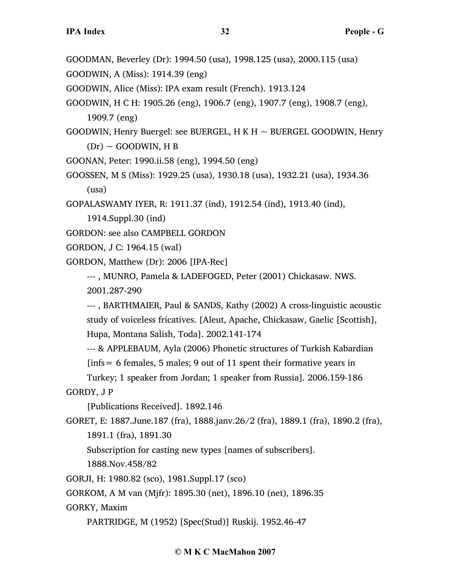- GOODMAN, Beverley (Dr): 1994.50 (usa), 1998.125 (usa), 2000.115 (usa)
- GOODWIN, A (Miss): 1914.39 (eng)
- GOODWIN, Alice (Miss): IPA exam result (French). 1913.124
- GOODWIN, H C H: 1905.26 (eng), 1906.7 (eng), 1907.7 (eng), 1908.7 (eng), 1909.7 (eng)
- GOODWIN, Henry Buergel: see BUERGEL, H K H  $\sim$  BUERGEL GOODWIN, Henry  $(Dr) \sim$  GOODWIN, H B
- GOONAN, Peter: 1990.ii.58 (eng), 1994.50 (eng)
- GOOSSEN, M S (Miss): 1929.25 (usa), 1930.18 (usa), 1932.21 (usa), 1934.36 (usa)

GOPALASWAMY IYER, R: 1911.37 (ind), 1912.54 (ind), 1913.40 (ind),

1914.Suppl.30 (ind)

- GORDON: see also CAMPBELL GORDON
- GORDON, J C: 1964.15 (wal)
- GORDON, Matthew (Dr): 2006 [IPA-Rec]

--- , MUNRO, Pamela & LADEFOGED, Peter (2001) Chickasaw. NWS. 2001.287-290

--- , BARTHMAIER, Paul & SANDS, Kathy (2002) A cross-linguistic acoustic study of voiceless fricatives. [Aleut, Apache, Chickasaw, Gaelic [Scottish], Hupa, Montana Salish, Toda]. 2002.141-174

--- & APPLEBAUM, Ayla (2006) Phonetic structures of Turkish Kabardian

 $[ins = 6$  females, 5 males; 9 out of 11 spent their formative years in

Turkey; 1 speaker from Jordan; 1 speaker from Russia]. 2006.159-186 GORDY, J P

[Publications Received]. 1892.146

GORET, E: 1887.June.187 (fra), 1888.janv.26/2 (fra), 1889.1 (fra), 1890.2 (fra), 1891.1 (fra), 1891.30

Subscription for casting new types [names of subscribers].

1888.Nov.458/82

GORJI, H: 1980.82 (sco), 1981.Suppl.17 (sco)

GORKOM, A M van (Mjfr): 1895.30 (net), 1896.10 (net), 1896.35

GORKY, Maxim

PARTRIDGE, M (1952) [Spec(Stud)] Ruskij. 1952.46-47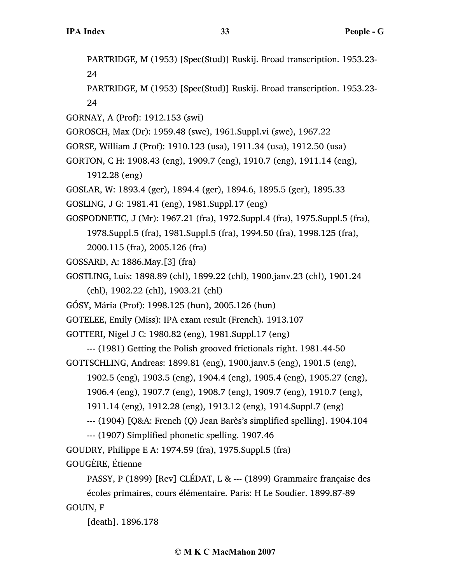PARTRIDGE, M (1953) [Spec(Stud)] Ruskij. Broad transcription. 1953.23- 24

PARTRIDGE, M (1953) [Spec(Stud)] Ruskij. Broad transcription. 1953.23- 24

GORNAY, A (Prof): 1912.153 (swi)

GOROSCH, Max (Dr): 1959.48 (swe), 1961.Suppl.vi (swe), 1967.22

GORSE, William J (Prof): 1910.123 (usa), 1911.34 (usa), 1912.50 (usa)

GORTON, C H: 1908.43 (eng), 1909.7 (eng), 1910.7 (eng), 1911.14 (eng),

1912.28 (eng)

GOSLAR, W: 1893.4 (ger), 1894.4 (ger), 1894.6, 1895.5 (ger), 1895.33

GOSLING, J G: 1981.41 (eng), 1981.Suppl.17 (eng)

GOSPODNETIC, J (Mr): 1967.21 (fra), 1972.Suppl.4 (fra), 1975.Suppl.5 (fra),

1978.Suppl.5 (fra), 1981.Suppl.5 (fra), 1994.50 (fra), 1998.125 (fra),

2000.115 (fra), 2005.126 (fra)

GOSSARD, A: 1886.May.[3] (fra)

GOSTLING, Luis: 1898.89 (chl), 1899.22 (chl), 1900.janv.23 (chl), 1901.24

(chl), 1902.22 (chl), 1903.21 (chl)

GÓSY, Mária (Prof): 1998.125 (hun), 2005.126 (hun)

GOTELEE, Emily (Miss): IPA exam result (French). 1913.107

GOTTERI, Nigel J C: 1980.82 (eng), 1981.Suppl.17 (eng)

--- (1981) Getting the Polish grooved frictionals right. 1981.44-50

GOTTSCHLING, Andreas: 1899.81 (eng), 1900.janv.5 (eng), 1901.5 (eng),

1902.5 (eng), 1903.5 (eng), 1904.4 (eng), 1905.4 (eng), 1905.27 (eng),

1906.4 (eng), 1907.7 (eng), 1908.7 (eng), 1909.7 (eng), 1910.7 (eng),

1911.14 (eng), 1912.28 (eng), 1913.12 (eng), 1914.Suppl.7 (eng)

--- (1904) [Q&A: French (Q) Jean Barès's simplified spelling]. 1904.104

--- (1907) Simplified phonetic spelling. 1907.46

GOUDRY, Philippe E A: 1974.59 (fra), 1975.Suppl.5 (fra)

GOUGÈRE, Étienne

PASSY, P (1899) [Rev] CLÉDAT, L & --- (1899) Grammaire française des écoles primaires, cours élémentaire. Paris: H Le Soudier. 1899.87-89 GOUIN, F

[death]. 1896.178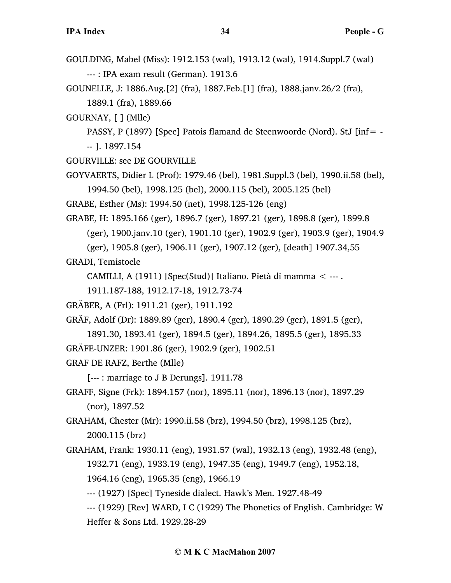- GOULDING, Mabel (Miss): 1912.153 (wal), 1913.12 (wal), 1914.Suppl.7 (wal) --- : IPA exam result (German). 1913.6
- GOUNELLE, J: 1886.Aug.[2] (fra), 1887.Feb.[1] (fra), 1888.janv.26/2 (fra), 1889.1 (fra), 1889.66
- GOURNAY, [ ] (Mlle)
	- PASSY, P (1897) [Spec] Patois flamand de Steenwoorde (Nord). StJ [inf= -- ]. 1897.154
- GOURVILLE: see DE GOURVILLE
- GOYVAERTS, Didier L (Prof): 1979.46 (bel), 1981.Suppl.3 (bel), 1990.ii.58 (bel), 1994.50 (bel), 1998.125 (bel), 2000.115 (bel), 2005.125 (bel)
- GRABE, Esther (Ms): 1994.50 (net), 1998.125-126 (eng)
- GRABE, H: 1895.166 (ger), 1896.7 (ger), 1897.21 (ger), 1898.8 (ger), 1899.8
	- (ger), 1900.janv.10 (ger), 1901.10 (ger), 1902.9 (ger), 1903.9 (ger), 1904.9
	- (ger), 1905.8 (ger), 1906.11 (ger), 1907.12 (ger), [death] 1907.34,55

GRADI, Temistocle

CAMILLI, A (1911) [Spec(Stud)] Italiano. Pietà di mamma < --- .

1911.187-188, 1912.17-18, 1912.73-74

GRÄBER, A (Frl): 1911.21 (ger), 1911.192

GRÄF, Adolf (Dr): 1889.89 (ger), 1890.4 (ger), 1890.29 (ger), 1891.5 (ger),

1891.30, 1893.41 (ger), 1894.5 (ger), 1894.26, 1895.5 (ger), 1895.33 GRÄFE-UNZER: 1901.86 (ger), 1902.9 (ger), 1902.51

GRAF DE RAFZ, Berthe (Mlle)

[--- : marriage to J B Derungs]. 1911.78

GRAFF, Signe (Frk): 1894.157 (nor), 1895.11 (nor), 1896.13 (nor), 1897.29 (nor), 1897.52

GRAHAM, Chester (Mr): 1990.ii.58 (brz), 1994.50 (brz), 1998.125 (brz), 2000.115 (brz)

- GRAHAM, Frank: 1930.11 (eng), 1931.57 (wal), 1932.13 (eng), 1932.48 (eng), 1932.71 (eng), 1933.19 (eng), 1947.35 (eng), 1949.7 (eng), 1952.18, 1964.16 (eng), 1965.35 (eng), 1966.19
	- --- (1927) [Spec] Tyneside dialect. Hawk's Men. 1927.48-49
	- --- (1929) [Rev] WARD, I C (1929) The Phonetics of English. Cambridge: W Heffer & Sons Ltd. 1929.28-29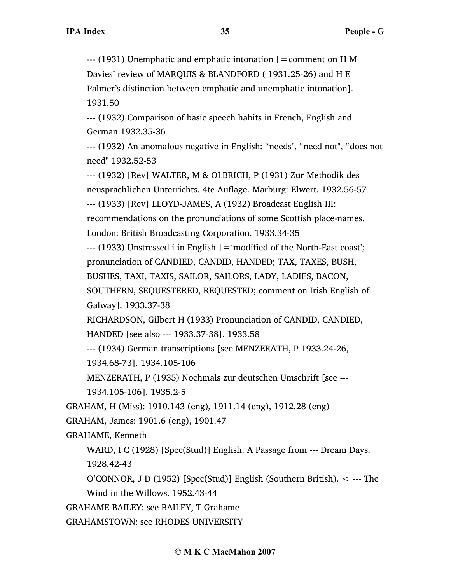--- (1931) Unemphatic and emphatic intonation [=comment on H M Davies' review of MARQUIS & BLANDFORD ( 1931.25-26) and H E Palmer's distinction between emphatic and unemphatic intonation]. 1931.50

--- (1932) Comparison of basic speech habits in French, English and German 1932.35-36

--- (1932) An anomalous negative in English: "needs", "need not", "does not need" 1932.52-53

--- (1932) [Rev] WALTER, M & OLBRICH, P (1931) Zur Methodik des neusprachlichen Unterrichts. 4te Auflage. Marburg: Elwert. 1932.56-57 --- (1933) [Rev] LLOYD-JAMES, A (1932) Broadcast English III:

recommendations on the pronunciations of some Scottish place-names. London: British Broadcasting Corporation. 1933.34-35

 $-$ --- (1933) Unstressed i in English  $\mathfrak{g} = \mathfrak{g}$  in  $\mathfrak{g} = \mathfrak{g}$  and  $\mathfrak{g}$  for the North-East coast'; pronunciation of CANDIED, CANDID, HANDED; TAX, TAXES, BUSH,

BUSHES, TAXI, TAXIS, SAILOR, SAILORS, LADY, LADIES, BACON,

SOUTHERN, SEQUESTERED, REQUESTED; comment on Irish English of Galway]. 1933.37-38

RICHARDSON, Gilbert H (1933) Pronunciation of CANDID, CANDIED, HANDED [see also --- 1933.37-38]. 1933.58

--- (1934) German transcriptions [see MENZERATH, P 1933.24-26,

1934.68-73]. 1934.105-106

MENZERATH, P (1935) Nochmals zur deutschen Umschrift [see --- 1934.105-106]. 1935.2-5

GRAHAM, H (Miss): 1910.143 (eng), 1911.14 (eng), 1912.28 (eng)

GRAHAM, James: 1901.6 (eng), 1901.47

GRAHAME, Kenneth

WARD, I C (1928) [Spec(Stud)] English. A Passage from --- Dream Days. 1928.42-43

O'CONNOR, J D (1952) [Spec(Stud)] English (Southern British). < --- The Wind in the Willows. 1952.43-44

GRAHAME BAILEY: see BAILEY, T Grahame

GRAHAMSTOWN: see RHODES UNIVERSITY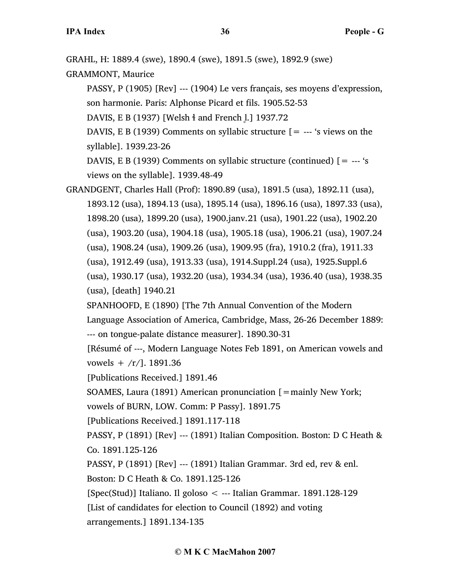GRAHL, H: 1889.4 (swe), 1890.4 (swe), 1891.5 (swe), 1892.9 (swe)

GRAMMONT, Maurice

PASSY, P (1905) [Rev] --- (1904) Le vers français, ses moyens d'expression, son harmonie. Paris: Alphonse Picard et fils. 1905.52-53

DAVIS, E B (1937) [Welsh <sup>4</sup> and French <sup>1</sup>.] 1937.72

DAVIS, E B (1939) Comments on syllabic structure  $[$  = --- 's views on the syllable]. 1939.23-26

DAVIS, E B (1939) Comments on syllabic structure (continued)  $[$  = --- 's views on the syllable]. 1939.48-49

GRANDGENT, Charles Hall (Prof): 1890.89 (usa), 1891.5 (usa), 1892.11 (usa), 1893.12 (usa), 1894.13 (usa), 1895.14 (usa), 1896.16 (usa), 1897.33 (usa), 1898.20 (usa), 1899.20 (usa), 1900.janv.21 (usa), 1901.22 (usa), 1902.20 (usa), 1903.20 (usa), 1904.18 (usa), 1905.18 (usa), 1906.21 (usa), 1907.24 (usa), 1908.24 (usa), 1909.26 (usa), 1909.95 (fra), 1910.2 (fra), 1911.33 (usa), 1912.49 (usa), 1913.33 (usa), 1914.Suppl.24 (usa), 1925.Suppl.6 (usa), 1930.17 (usa), 1932.20 (usa), 1934.34 (usa), 1936.40 (usa), 1938.35 (usa), [death] 1940.21

SPANHOOFD, E (1890) [The 7th Annual Convention of the Modern Language Association of America, Cambridge, Mass, 26-26 December 1889: --- on tongue-palate distance measurer]. 1890.30-31

[Résumé of ---, Modern Language Notes Feb 1891, on American vowels and vowels  $+$  /r/]. 1891.36

[Publications Received.] 1891.46

SOAMES, Laura (1891) American pronunciation [=mainly New York;

vowels of BURN, LOW. Comm: P Passy]. 1891.75

[Publications Received.] 1891.117-118

PASSY, P (1891) [Rev] --- (1891) Italian Composition. Boston: D C Heath & Co. 1891.125-126

PASSY, P (1891) [Rev] --- (1891) Italian Grammar. 3rd ed, rev & enl.

Boston: D C Heath & Co. 1891.125-126

[Spec(Stud)] Italiano. Il goloso < --- Italian Grammar. 1891.128-129 [List of candidates for election to Council (1892) and voting arrangements.] 1891.134-135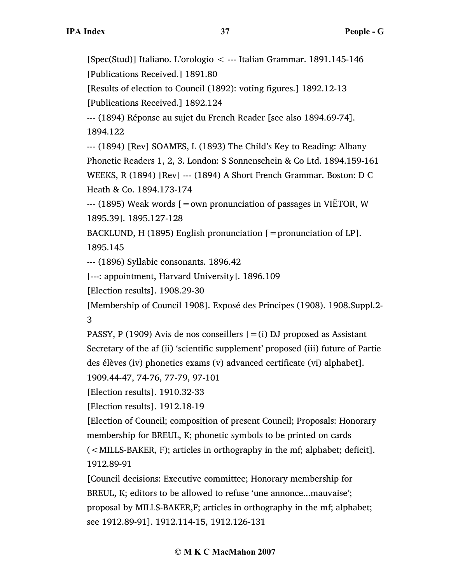[Spec(Stud)] Italiano. L'orologio < --- Italian Grammar. 1891.145-146 [Publications Received.] 1891.80

[Results of election to Council (1892): voting figures.] 1892.12-13 [Publications Received.] 1892.124

--- (1894) Réponse au sujet du French Reader [see also 1894.69-74]. 1894.122

--- (1894) [Rev] SOAMES, L (1893) The Child's Key to Reading: Albany Phonetic Readers 1, 2, 3. London: S Sonnenschein & Co Ltd. 1894.159-161 WEEKS, R (1894) [Rev] --- (1894) A Short French Grammar. Boston: D C Heath & Co. 1894.173-174

 $-$ -- (1895) Weak words  $=$  own pronunciation of passages in VIËTOR, W 1895.39]. 1895.127-128

BACKLUND, H (1895) English pronunciation  $[=$  pronunciation of LP]. 1895.145

--- (1896) Syllabic consonants. 1896.42

[---: appointment, Harvard University]. 1896.109

[Election results]. 1908.29-30

[Membership of Council 1908]. Exposé des Principes (1908). 1908.Suppl.2- 3

PASSY, P (1909) Avis de nos conseillers  $[=(i)$  DJ proposed as Assistant Secretary of the af (ii) 'scientific supplement' proposed (iii) future of Partie des élèves (iv) phonetics exams (v) advanced certificate (vi) alphabet].

1909.44-47, 74-76, 77-79, 97-101

[Election results]. 1910.32-33

[Election results]. 1912.18-19

[Election of Council; composition of present Council; Proposals: Honorary membership for BREUL, K; phonetic symbols to be printed on cards (<MILLS-BAKER, F); articles in orthography in the mf; alphabet; deficit]. 1912.89-91

[Council decisions: Executive committee; Honorary membership for BREUL, K; editors to be allowed to refuse 'une annonce...mauvaise'; proposal by MILLS-BAKER,F; articles in orthography in the mf; alphabet; see 1912.89-91]. 1912.114-15, 1912.126-131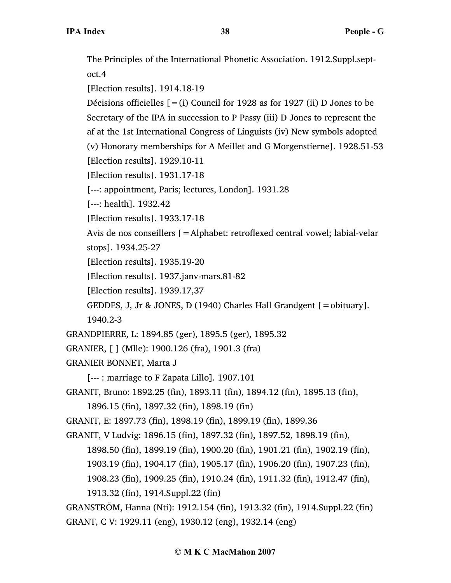The Principles of the International Phonetic Association. 1912.Suppl.septoct.4 [Election results]. 1914.18-19 Décisions officielles  $[=(i)$  Council for 1928 as for 1927 (ii) D Jones to be Secretary of the IPA in succession to P Passy (iii) D Jones to represent the af at the 1st International Congress of Linguists (iv) New symbols adopted (v) Honorary memberships for A Meillet and G Morgenstierne]. 1928.51-53 [Election results]. 1929.10-11 [Election results]. 1931.17-18 [---: appointment, Paris; lectures, London]. 1931.28 [---: health]. 1932.42 [Election results]. 1933.17-18 Avis de nos conseillers [=Alphabet: retroflexed central vowel; labial-velar stops]. 1934.25-27 [Election results]. 1935.19-20 [Election results]. 1937.janv-mars.81-82 [Election results]. 1939.17,37 GEDDES, J, Jr & JONES, D (1940) Charles Hall Grandgent  $[=$ obituary]. 1940.2-3 GRANDPIERRE, L: 1894.85 (ger), 1895.5 (ger), 1895.32 GRANIER, [ ] (Mlle): 1900.126 (fra), 1901.3 (fra) GRANIER BONNET, Marta J [--- : marriage to F Zapata Lillo]. 1907.101 GRANIT, Bruno: 1892.25 (fin), 1893.11 (fin), 1894.12 (fin), 1895.13 (fin), 1896.15 (fin), 1897.32 (fin), 1898.19 (fin) GRANIT, E: 1897.73 (fin), 1898.19 (fin), 1899.19 (fin), 1899.36 GRANIT, V Ludvig: 1896.15 (fin), 1897.32 (fin), 1897.52, 1898.19 (fin), 1898.50 (fin), 1899.19 (fin), 1900.20 (fin), 1901.21 (fin), 1902.19 (fin), 1903.19 (fin), 1904.17 (fin), 1905.17 (fin), 1906.20 (fin), 1907.23 (fin), 1908.23 (fin), 1909.25 (fin), 1910.24 (fin), 1911.32 (fin), 1912.47 (fin), 1913.32 (fin), 1914.Suppl.22 (fin) GRANSTRÖM, Hanna (Nti): 1912.154 (fin), 1913.32 (fin), 1914.Suppl.22 (fin)

GRANT, C V: 1929.11 (eng), 1930.12 (eng), 1932.14 (eng)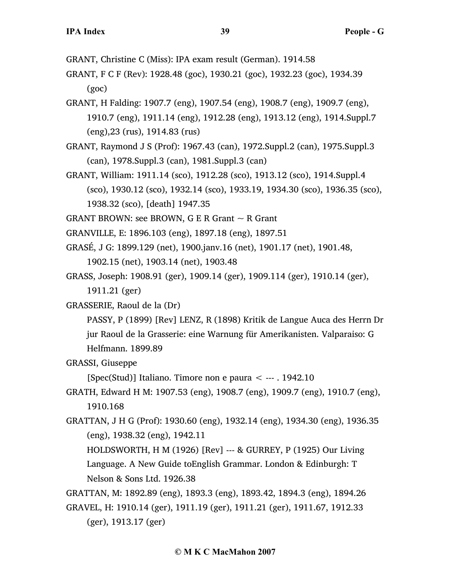GRANT, Christine C (Miss): IPA exam result (German). 1914.58

- GRANT, F C F (Rev): 1928.48 (goc), 1930.21 (goc), 1932.23 (goc), 1934.39 (goc)
- GRANT, H Falding: 1907.7 (eng), 1907.54 (eng), 1908.7 (eng), 1909.7 (eng), 1910.7 (eng), 1911.14 (eng), 1912.28 (eng), 1913.12 (eng), 1914.Suppl.7 (eng),23 (rus), 1914.83 (rus)
- GRANT, Raymond J S (Prof): 1967.43 (can), 1972.Suppl.2 (can), 1975.Suppl.3 (can), 1978.Suppl.3 (can), 1981.Suppl.3 (can)
- GRANT, William: 1911.14 (sco), 1912.28 (sco), 1913.12 (sco), 1914.Suppl.4 (sco), 1930.12 (sco), 1932.14 (sco), 1933.19, 1934.30 (sco), 1936.35 (sco), 1938.32 (sco), [death] 1947.35
- GRANT BROWN: see BROWN, G E R Grant  $\sim$  R Grant
- GRANVILLE, E: 1896.103 (eng), 1897.18 (eng), 1897.51
- GRASÉ, J G: 1899.129 (net), 1900.janv.16 (net), 1901.17 (net), 1901.48, 1902.15 (net), 1903.14 (net), 1903.48
- GRASS, Joseph: 1908.91 (ger), 1909.14 (ger), 1909.114 (ger), 1910.14 (ger), 1911.21 (ger)
- GRASSERIE, Raoul de la (Dr)
	- PASSY, P (1899) [Rev] LENZ, R (1898) Kritik de Langue Auca des Herrn Dr jur Raoul de la Grasserie: eine Warnung für Amerikanisten. Valparaiso: G Helfmann. 1899.89
- GRASSI, Giuseppe

[Spec(Stud)] Italiano. Timore non e paura  $\lt$  --- . 1942.10

- GRATH, Edward H M: 1907.53 (eng), 1908.7 (eng), 1909.7 (eng), 1910.7 (eng), 1910.168
- GRATTAN, J H G (Prof): 1930.60 (eng), 1932.14 (eng), 1934.30 (eng), 1936.35 (eng), 1938.32 (eng), 1942.11
	- HOLDSWORTH, H M (1926) [Rev] --- & GURREY, P (1925) Our Living Language. A New Guide toEnglish Grammar. London & Edinburgh: T Nelson & Sons Ltd. 1926.38

GRATTAN, M: 1892.89 (eng), 1893.3 (eng), 1893.42, 1894.3 (eng), 1894.26

GRAVEL, H: 1910.14 (ger), 1911.19 (ger), 1911.21 (ger), 1911.67, 1912.33 (ger), 1913.17 (ger)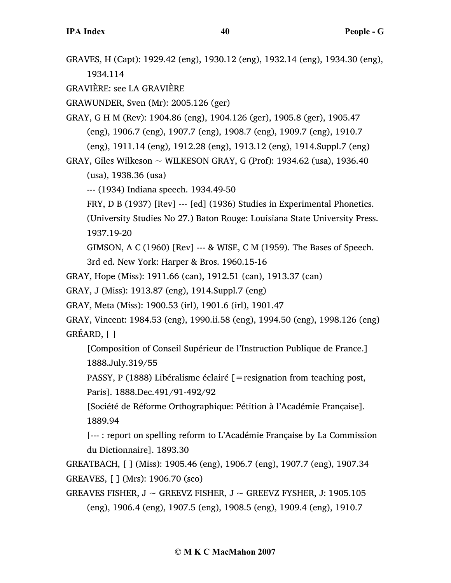GRAVES, H (Capt): 1929.42 (eng), 1930.12 (eng), 1932.14 (eng), 1934.30 (eng), 1934.114

GRAVIÈRE: see LA GRAVIÈRE

GRAWUNDER, Sven (Mr): 2005.126 (ger)

GRAY, G H M (Rev): 1904.86 (eng), 1904.126 (ger), 1905.8 (ger), 1905.47 (eng), 1906.7 (eng), 1907.7 (eng), 1908.7 (eng), 1909.7 (eng), 1910.7 (eng), 1911.14 (eng), 1912.28 (eng), 1913.12 (eng), 1914.Suppl.7 (eng)

GRAY, Giles Wilkeson  $\sim$  WILKESON GRAY, G (Prof): 1934.62 (usa), 1936.40 (usa), 1938.36 (usa)

--- (1934) Indiana speech. 1934.49-50

FRY, D B (1937) [Rev] --- [ed] (1936) Studies in Experimental Phonetics.

(University Studies No 27.) Baton Rouge: Louisiana State University Press. 1937.19-20

GIMSON, A C (1960) [Rev] --- & WISE, C M (1959). The Bases of Speech.

3rd ed. New York: Harper & Bros. 1960.15-16

GRAY, Hope (Miss): 1911.66 (can), 1912.51 (can), 1913.37 (can)

GRAY, J (Miss): 1913.87 (eng), 1914.Suppl.7 (eng)

GRAY, Meta (Miss): 1900.53 (irl), 1901.6 (irl), 1901.47

GRAY, Vincent: 1984.53 (eng), 1990.ii.58 (eng), 1994.50 (eng), 1998.126 (eng) GRÉARD, [ ]

[Composition of Conseil Supérieur de l'Instruction Publique de France.] 1888.July.319/55

PASSY, P (1888) Libéralisme éclairé  $\mathfrak{f}$  = resignation from teaching post, Paris]. 1888.Dec.491/91-492/92

[Société de Réforme Orthographique: Pétition à l'Académie Française]. 1889.94

[--- : report on spelling reform to L'Académie Française by La Commission du Dictionnaire]. 1893.30

GREATBACH, [ ] (Miss): 1905.46 (eng), 1906.7 (eng), 1907.7 (eng), 1907.34 GREAVES, [ ] (Mrs): 1906.70 (sco)

GREAVES FISHER,  $J \sim$  GREEVZ FISHER,  $J \sim$  GREEVZ FYSHER, J: 1905.105 (eng), 1906.4 (eng), 1907.5 (eng), 1908.5 (eng), 1909.4 (eng), 1910.7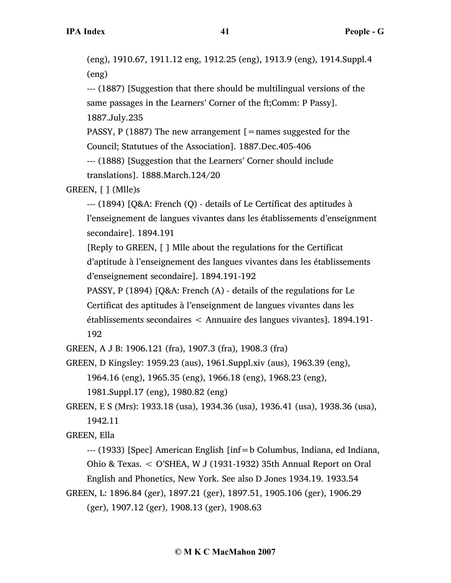(eng), 1910.67, 1911.12 eng, 1912.25 (eng), 1913.9 (eng), 1914.Suppl.4 (eng)

--- (1887) [Suggestion that there should be multilingual versions of the same passages in the Learners' Corner of the ft;Comm: P Passy]. 1887.July.235

PASSY, P (1887) The new arrangement  $\mathfrak{[}=$  names suggested for the Council; Statutues of the Association]. 1887.Dec.405-406

--- (1888) [Suggestion that the Learners' Corner should include translations]. 1888.March.124/20

GREEN, [ ] (Mlle)s

--- (1894) [Q&A: French (Q) - details of Le Certificat des aptitudes à l'enseignement de langues vivantes dans les établissements d'enseignment secondaire]. 1894.191

[Reply to GREEN, [ ] Mlle about the regulations for the Certificat d'aptitude à l'enseignement des langues vivantes dans les établissements d'enseignement secondaire]. 1894.191-192

PASSY, P (1894) [Q&A: French (A) - details of the regulations for Le Certificat des aptitudes à l'enseignment de langues vivantes dans les établissements secondaires < Annuaire des langues vivantes]. 1894.191-

192

GREEN, A J B: 1906.121 (fra), 1907.3 (fra), 1908.3 (fra)

GREEN, D Kingsley: 1959.23 (aus), 1961.Suppl.xiv (aus), 1963.39 (eng),

1964.16 (eng), 1965.35 (eng), 1966.18 (eng), 1968.23 (eng),

1981.Suppl.17 (eng), 1980.82 (eng)

GREEN, E S (Mrs): 1933.18 (usa), 1934.36 (usa), 1936.41 (usa), 1938.36 (usa), 1942.11

GREEN, Ella

--- (1933) [Spec] American English [inf=b Columbus, Indiana, ed Indiana, Ohio & Texas. < O'SHEA, W J (1931-1932) 35th Annual Report on Oral English and Phonetics, New York. See also D Jones 1934.19. 1933.54

GREEN, L: 1896.84 (ger), 1897.21 (ger), 1897.51, 1905.106 (ger), 1906.29 (ger), 1907.12 (ger), 1908.13 (ger), 1908.63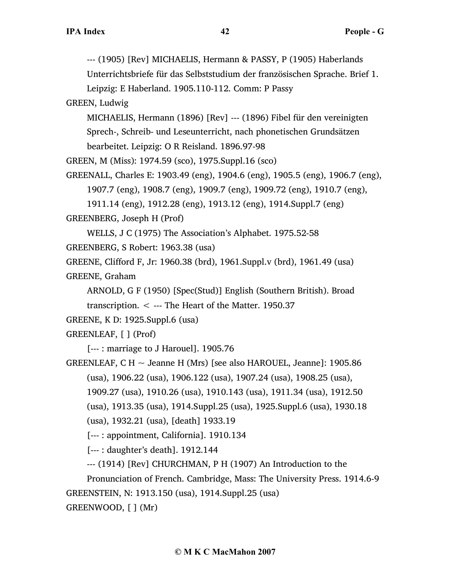--- (1905) [Rev] MICHAELIS, Hermann & PASSY, P (1905) Haberlands

Unterrichtsbriefe für das Selbststudium der französischen Sprache. Brief 1.

Leipzig: E Haberland. 1905.110-112. Comm: P Passy

GREEN, Ludwig

MICHAELIS, Hermann (1896) [Rev] --- (1896) Fibel für den vereinigten Sprech-, Schreib- und Leseunterricht, nach phonetischen Grundsätzen bearbeitet. Leipzig: O R Reisland. 1896.97-98

GREEN, M (Miss): 1974.59 (sco), 1975.Suppl.16 (sco)

GREENALL, Charles E: 1903.49 (eng), 1904.6 (eng), 1905.5 (eng), 1906.7 (eng), 1907.7 (eng), 1908.7 (eng), 1909.7 (eng), 1909.72 (eng), 1910.7 (eng),

1911.14 (eng), 1912.28 (eng), 1913.12 (eng), 1914.Suppl.7 (eng)

GREENBERG, Joseph H (Prof)

WELLS, J C (1975) The Association's Alphabet. 1975.52-58

GREENBERG, S Robert: 1963.38 (usa)

GREENE, Clifford F, Jr: 1960.38 (brd), 1961.Suppl.v (brd), 1961.49 (usa) GREENE, Graham

ARNOLD, G F (1950) [Spec(Stud)] English (Southern British). Broad transcription.  $\lt$  --- The Heart of the Matter. 1950.37

```
GREENE, K D: 1925.Suppl.6 (usa)
```
GREENLEAF, [ ] (Prof)

[--- : marriage to J Harouel]. 1905.76

GREENLEAF, C H  $\sim$  Jeanne H (Mrs) [see also HAROUEL, Jeanne]: 1905.86 (usa), 1906.22 (usa), 1906.122 (usa), 1907.24 (usa), 1908.25 (usa),

1909.27 (usa), 1910.26 (usa), 1910.143 (usa), 1911.34 (usa), 1912.50

(usa), 1913.35 (usa), 1914.Suppl.25 (usa), 1925.Suppl.6 (usa), 1930.18

(usa), 1932.21 (usa), [death] 1933.19

[--- : appointment, California]. 1910.134

[--- : daughter's death]. 1912.144

--- (1914) [Rev] CHURCHMAN, P H (1907) An Introduction to the

Pronunciation of French. Cambridge, Mass: The University Press. 1914.6-9 GREENSTEIN, N: 1913.150 (usa), 1914.Suppl.25 (usa) GREENWOOD, [ ] (Mr)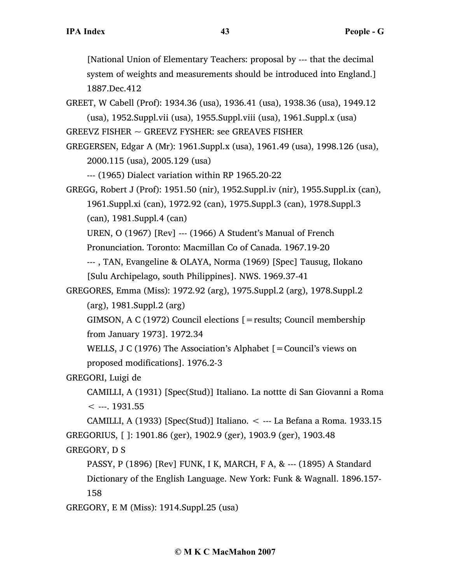[National Union of Elementary Teachers: proposal by --- that the decimal system of weights and measurements should be introduced into England.] 1887.Dec.412

GREET, W Cabell (Prof): 1934.36 (usa), 1936.41 (usa), 1938.36 (usa), 1949.12 (usa), 1952.Suppl.vii (usa), 1955.Suppl.viii (usa), 1961.Suppl.x (usa)

GREEVZ FISHER ~ GREEVZ FYSHER: see GREAVES FISHER

GREGERSEN, Edgar A (Mr): 1961.Suppl.x (usa), 1961.49 (usa), 1998.126 (usa), 2000.115 (usa), 2005.129 (usa)

--- (1965) Dialect variation within RP 1965.20-22

GREGG, Robert J (Prof): 1951.50 (nir), 1952.Suppl.iv (nir), 1955.Suppl.ix (can), 1961.Suppl.xi (can), 1972.92 (can), 1975.Suppl.3 (can), 1978.Suppl.3 (can), 1981.Suppl.4 (can)

UREN, O (1967) [Rev] --- (1966) A Student's Manual of French

Pronunciation. Toronto: Macmillan Co of Canada. 1967.19-20

--- , TAN, Evangeline & OLAYA, Norma (1969) [Spec] Tausug, Ilokano [Sulu Archipelago, south Philippines]. NWS. 1969.37-41

GREGORES, Emma (Miss): 1972.92 (arg), 1975.Suppl.2 (arg), 1978.Suppl.2 (arg), 1981.Suppl.2 (arg)

GIMSON, A C (1972) Council elections [=results; Council membership from January 1973]. 1972.34

WELLS, J C (1976) The Association's Alphabet  $[=$  Council's views on proposed modifications]. 1976.2-3

GREGORI, Luigi de

CAMILLI, A (1931) [Spec(Stud)] Italiano. La nottte di San Giovanni a Roma  $<$  ---. 1931.55

CAMILLI, A (1933) [Spec(Stud)] Italiano. < --- La Befana a Roma. 1933.15 GREGORIUS, [ ]: 1901.86 (ger), 1902.9 (ger), 1903.9 (ger), 1903.48 GREGORY, D S

PASSY, P (1896) [Rev] FUNK, I K, MARCH, F A, & --- (1895) A Standard Dictionary of the English Language. New York: Funk & Wagnall. 1896.157- 158

GREGORY, E M (Miss): 1914.Suppl.25 (usa)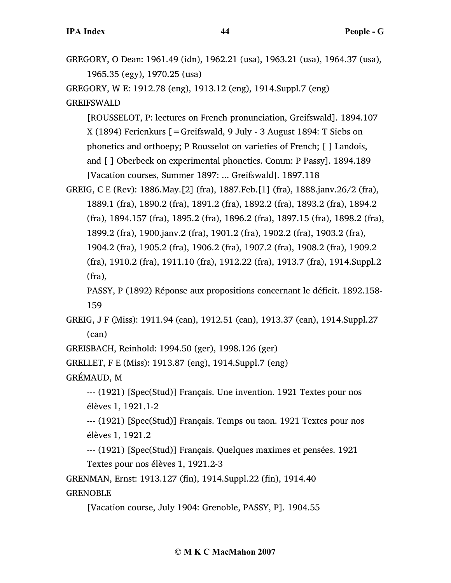GREGORY, O Dean: 1961.49 (idn), 1962.21 (usa), 1963.21 (usa), 1964.37 (usa), 1965.35 (egy), 1970.25 (usa)

GREGORY, W E: 1912.78 (eng), 1913.12 (eng), 1914.Suppl.7 (eng) GREIFSWALD

[ROUSSELOT, P: lectures on French pronunciation, Greifswald]. 1894.107 X (1894) Ferienkurs [=Greifswald, 9 July - 3 August 1894: T Siebs on phonetics and orthoepy; P Rousselot on varieties of French; [ ] Landois, and [ ] Oberbeck on experimental phonetics. Comm: P Passy]. 1894.189 [Vacation courses, Summer 1897: ... Greifswald]. 1897.118

GREIG, C E (Rev): 1886.May.[2] (fra), 1887.Feb.[1] (fra), 1888.janv.26/2 (fra), 1889.1 (fra), 1890.2 (fra), 1891.2 (fra), 1892.2 (fra), 1893.2 (fra), 1894.2 (fra), 1894.157 (fra), 1895.2 (fra), 1896.2 (fra), 1897.15 (fra), 1898.2 (fra), 1899.2 (fra), 1900.janv.2 (fra), 1901.2 (fra), 1902.2 (fra), 1903.2 (fra), 1904.2 (fra), 1905.2 (fra), 1906.2 (fra), 1907.2 (fra), 1908.2 (fra), 1909.2 (fra), 1910.2 (fra), 1911.10 (fra), 1912.22 (fra), 1913.7 (fra), 1914.Suppl.2 (fra),

PASSY, P (1892) Réponse aux propositions concernant le déficit. 1892.158- 159

GREIG, J F (Miss): 1911.94 (can), 1912.51 (can), 1913.37 (can), 1914.Suppl.27 (can)

GREISBACH, Reinhold: 1994.50 (ger), 1998.126 (ger)

GRELLET, F E (Miss): 1913.87 (eng), 1914.Suppl.7 (eng)

GRÉMAUD, M

--- (1921) [Spec(Stud)] Français. Une invention. 1921 Textes pour nos élèves 1, 1921.1-2

--- (1921) [Spec(Stud)] Français. Temps ou taon. 1921 Textes pour nos élèves 1, 1921.2

--- (1921) [Spec(Stud)] Français. Quelques maximes et pensées. 1921 Textes pour nos élèves 1, 1921.2-3

GRENMAN, Ernst: 1913.127 (fin), 1914.Suppl.22 (fin), 1914.40 **GRENOBLE** 

[Vacation course, July 1904: Grenoble, PASSY, P]. 1904.55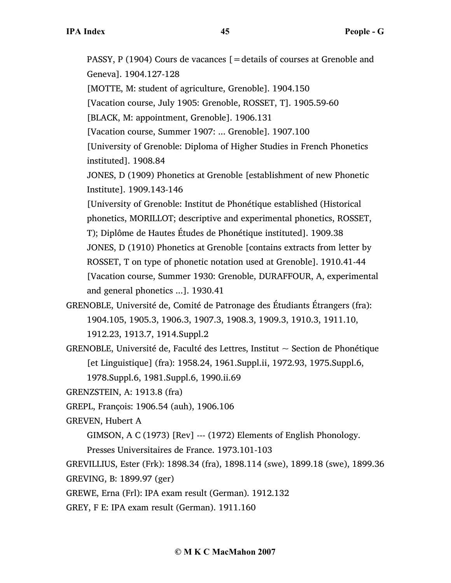PASSY, P (1904) Cours de vacances [=details of courses at Grenoble and Geneva]. 1904.127-128 [MOTTE, M: student of agriculture, Grenoble]. 1904.150 [Vacation course, July 1905: Grenoble, ROSSET, T]. 1905.59-60 [BLACK, M: appointment, Grenoble]. 1906.131 [Vacation course, Summer 1907: ... Grenoble]. 1907.100 [University of Grenoble: Diploma of Higher Studies in French Phonetics instituted]. 1908.84 JONES, D (1909) Phonetics at Grenoble [establishment of new Phonetic Institute]. 1909.143-146 [University of Grenoble: Institut de Phonétique established (Historical phonetics, MORILLOT; descriptive and experimental phonetics, ROSSET, T); Diplôme de Hautes Études de Phonétique instituted]. 1909.38 JONES, D (1910) Phonetics at Grenoble [contains extracts from letter by ROSSET, T on type of phonetic notation used at Grenoble]. 1910.41-44 [Vacation course, Summer 1930: Grenoble, DURAFFOUR, A, experimental and general phonetics ...]. 1930.41

- GRENOBLE, Université de, Comité de Patronage des Étudiants Étrangers (fra): 1904.105, 1905.3, 1906.3, 1907.3, 1908.3, 1909.3, 1910.3, 1911.10, 1912.23, 1913.7, 1914.Suppl.2
- GRENOBLE, Université de, Faculté des Lettres, Institut  $\sim$  Section de Phonétique [et Linguistique] (fra): 1958.24, 1961.Suppl.ii, 1972.93, 1975.Suppl.6, 1978.Suppl.6, 1981.Suppl.6, 1990.ii.69
- GRENZSTEIN, A: 1913.8 (fra)
- GREPL, François: 1906.54 (auh), 1906.106
- GREVEN, Hubert A
	- GIMSON, A C (1973) [Rev] --- (1972) Elements of English Phonology.
	- Presses Universitaires de France. 1973.101-103
- GREVILLIUS, Ester (Frk): 1898.34 (fra), 1898.114 (swe), 1899.18 (swe), 1899.36 GREVING, B: 1899.97 (ger)
- GREWE, Erna (Frl): IPA exam result (German). 1912.132
- GREY, F E: IPA exam result (German). 1911.160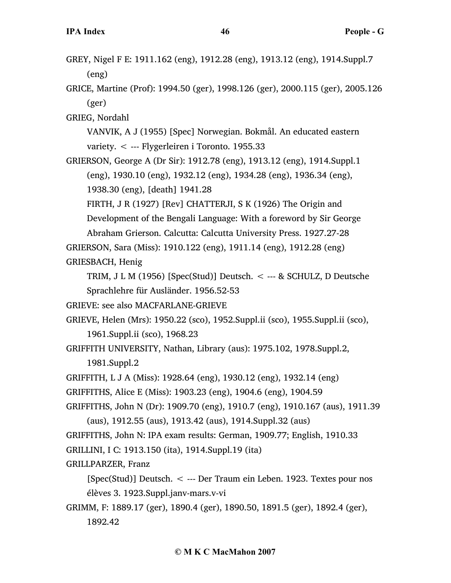- GREY, Nigel F E: 1911.162 (eng), 1912.28 (eng), 1913.12 (eng), 1914.Suppl.7 (eng)
- GRICE, Martine (Prof): 1994.50 (ger), 1998.126 (ger), 2000.115 (ger), 2005.126 (ger)

GRIEG, Nordahl

VANVIK, A J (1955) [Spec] Norwegian. Bokmål. An educated eastern variety. < --- Flygerleiren i Toronto. 1955.33

GRIERSON, George A (Dr Sir): 1912.78 (eng), 1913.12 (eng), 1914.Suppl.1 (eng), 1930.10 (eng), 1932.12 (eng), 1934.28 (eng), 1936.34 (eng), 1938.30 (eng), [death] 1941.28

FIRTH, J R (1927) [Rev] CHATTERJI, S K (1926) The Origin and Development of the Bengali Language: With a foreword by Sir George Abraham Grierson. Calcutta: Calcutta University Press. 1927.27-28 GRIERSON, Sara (Miss): 1910.122 (eng), 1911.14 (eng), 1912.28 (eng)

GRIESBACH, Henig

TRIM, J L M  $(1956)$  [Spec(Stud)] Deutsch. < --- & SCHULZ, D Deutsche Sprachlehre für Ausländer. 1956.52-53

GRIEVE: see also MACFARLANE-GRIEVE

GRIEVE, Helen (Mrs): 1950.22 (sco), 1952.Suppl.ii (sco), 1955.Suppl.ii (sco), 1961.Suppl.ii (sco), 1968.23

GRIFFITH UNIVERSITY, Nathan, Library (aus): 1975.102, 1978.Suppl.2, 1981.Suppl.2

GRIFFITH, L J A (Miss): 1928.64 (eng), 1930.12 (eng), 1932.14 (eng)

```
GRIFFITHS, Alice E (Miss): 1903.23 (eng), 1904.6 (eng), 1904.59
```
GRIFFITHS, John N (Dr): 1909.70 (eng), 1910.7 (eng), 1910.167 (aus), 1911.39

(aus), 1912.55 (aus), 1913.42 (aus), 1914.Suppl.32 (aus)

GRIFFITHS, John N: IPA exam results: German, 1909.77; English, 1910.33

GRILLINI, I C: 1913.150 (ita), 1914.Suppl.19 (ita)

GRILLPARZER, Franz

[Spec(Stud)] Deutsch. < --- Der Traum ein Leben. 1923. Textes pour nos élèves 3. 1923.Suppl.janv-mars.v-vi

GRIMM, F: 1889.17 (ger), 1890.4 (ger), 1890.50, 1891.5 (ger), 1892.4 (ger), 1892.42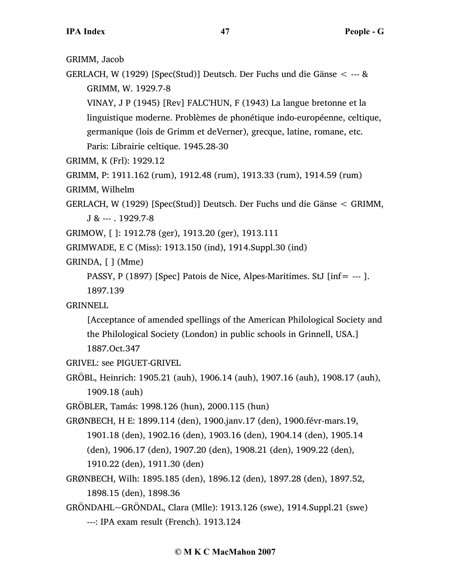GRIMM, Jacob

GERLACH, W (1929) [Spec(Stud)] Deutsch. Der Fuchs und die Gänse < --- & GRIMM, W. 1929.7-8

VINAY, J P (1945) [Rev] FALC'HUN, F (1943) La langue bretonne et la linguistique moderne. Problèmes de phonétique indo-européenne, celtique, germanique (lois de Grimm et deVerner), grecque, latine, romane, etc. Paris: Librairie celtique. 1945.28-30

GRIMM, K (Frl): 1929.12

GRIMM, P: 1911.162 (rum), 1912.48 (rum), 1913.33 (rum), 1914.59 (rum)

GRIMM, Wilhelm

GERLACH, W (1929) [Spec(Stud)] Deutsch. Der Fuchs und die Gänse < GRIMM, J & --- . 1929.7-8

GRIMOW, [ ]: 1912.78 (ger), 1913.20 (ger), 1913.111

GRIMWADE, E C (Miss): 1913.150 (ind), 1914.Suppl.30 (ind)

GRINDA, [ ] (Mme)

PASSY, P (1897) [Spec] Patois de Nice, Alpes-Maritimes. StJ [inf= --- ]. 1897.139

GRINNELL

[Acceptance of amended spellings of the American Philological Society and the Philological Society (London) in public schools in Grinnell, USA.] 1887.Oct.347

GRIVEL: see PIGUET-GRIVEL

GRÖBL, Heinrich: 1905.21 (auh), 1906.14 (auh), 1907.16 (auh), 1908.17 (auh), 1909.18 (auh)

GRÖBLER, Tamás: 1998.126 (hun), 2000.115 (hun)

GRØNBECH, H E: 1899.114 (den), 1900.janv.17 (den), 1900.févr-mars.19, 1901.18 (den), 1902.16 (den), 1903.16 (den), 1904.14 (den), 1905.14 (den), 1906.17 (den), 1907.20 (den), 1908.21 (den), 1909.22 (den), 1910.22 (den), 1911.30 (den)

- GRØNBECH, Wilh: 1895.185 (den), 1896.12 (den), 1897.28 (den), 1897.52, 1898.15 (den), 1898.36
- GRÖNDAHL~GRÖNDAL, Clara (Mlle): 1913.126 (swe), 1914.Suppl.21 (swe) ---: IPA exam result (French). 1913.124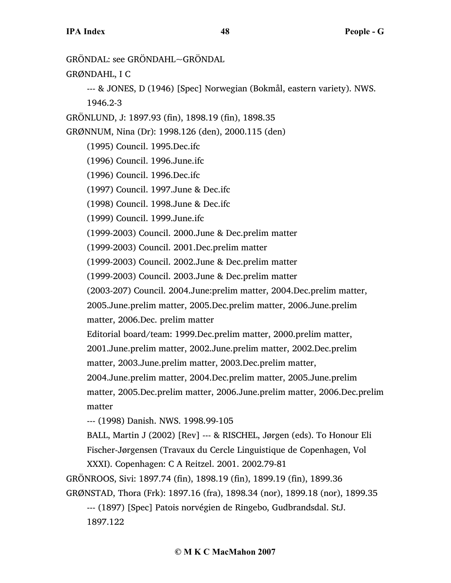GRÖNDAL: see GRÖNDAHL~GRÖNDAL GRØNDAHL, I C --- & JONES, D (1946) [Spec] Norwegian (Bokmål, eastern variety). NWS. 1946.2-3 GRÖNLUND, J: 1897.93 (fin), 1898.19 (fin), 1898.35 GRØNNUM, Nina (Dr): 1998.126 (den), 2000.115 (den) (1995) Council. 1995.Dec.ifc (1996) Council. 1996.June.ifc (1996) Council. 1996.Dec.ifc (1997) Council. 1997.June & Dec.ifc (1998) Council. 1998.June & Dec.ifc (1999) Council. 1999.June.ifc (1999-2003) Council. 2000.June & Dec.prelim matter (1999-2003) Council. 2001.Dec.prelim matter (1999-2003) Council. 2002.June & Dec.prelim matter (1999-2003) Council. 2003.June & Dec.prelim matter (2003-207) Council. 2004.June:prelim matter, 2004.Dec.prelim matter, 2005.June.prelim matter, 2005.Dec.prelim matter, 2006.June.prelim matter, 2006.Dec. prelim matter Editorial board/team: 1999.Dec.prelim matter, 2000.prelim matter, 2001.June.prelim matter, 2002.June.prelim matter, 2002.Dec.prelim matter, 2003.June.prelim matter, 2003.Dec.prelim matter, 2004.June.prelim matter, 2004.Dec.prelim matter, 2005.June.prelim matter, 2005.Dec.prelim matter, 2006.June.prelim matter, 2006.Dec.prelim matter --- (1998) Danish. NWS. 1998.99-105 BALL, Martin J (2002) [Rev] --- & RISCHEL, Jørgen (eds). To Honour Eli Fischer-Jørgensen (Travaux du Cercle Linguistique de Copenhagen, Vol XXXI). Copenhagen: C A Reitzel. 2001. 2002.79-81 GRÖNROOS, Sivi: 1897.74 (fin), 1898.19 (fin), 1899.19 (fin), 1899.36 GRØNSTAD, Thora (Frk): 1897.16 (fra), 1898.34 (nor), 1899.18 (nor), 1899.35 --- (1897) [Spec] Patois norvégien de Ringebo, Gudbrandsdal. StJ. 1897.122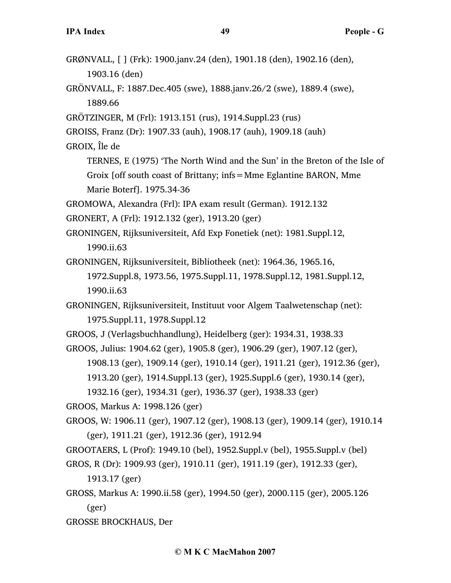| GRØNVALL, [ ] (Frk): 1900.janv.24 (den), 1901.18 (den), 1902.16 (den),<br>1903.16 (den) |
|-----------------------------------------------------------------------------------------|
| GRÖNVALL, F: 1887.Dec.405 (swe), 1888.janv.26/2 (swe), 1889.4 (swe),<br>1889.66         |
| GRÖTZINGER, M (Frl): 1913.151 (rus), 1914.Suppl.23 (rus)                                |
| GROISS, Franz (Dr): 1907.33 (auh), 1908.17 (auh), 1909.18 (auh)                         |
| GROIX, Île de                                                                           |
| TERNES, E (1975) 'The North Wind and the Sun' in the Breton of the Isle of              |
| Groix [off south coast of Brittany; infs = Mme Eglantine BARON, Mme                     |
| Marie Boterf]. 1975.34-36                                                               |
| GROMOWA, Alexandra (Frl): IPA exam result (German). 1912.132                            |
| GRONERT, A (Frl): 1912.132 (ger), 1913.20 (ger)                                         |
| GRONINGEN, Rijksuniversiteit, Afd Exp Fonetiek (net): 1981. Suppl. 12,                  |
| 1990.ii.63                                                                              |
| GRONINGEN, Rijksuniversiteit, Bibliotheek (net): 1964.36, 1965.16,                      |
| 1972.Suppl.8, 1973.56, 1975.Suppl.11, 1978.Suppl.12, 1981.Suppl.12,                     |
| 1990.ii.63                                                                              |
| GRONINGEN, Rijksuniversiteit, Instituut voor Algem Taalwetenschap (net):                |
| 1975.Suppl.11, 1978.Suppl.12                                                            |
| GROOS, J (Verlagsbuchhandlung), Heidelberg (ger): 1934.31, 1938.33                      |
| GROOS, Julius: 1904.62 (ger), 1905.8 (ger), 1906.29 (ger), 1907.12 (ger),               |
| 1908.13 (ger), 1909.14 (ger), 1910.14 (ger), 1911.21 (ger), 1912.36 (ger),              |
| 1913.20 (ger), 1914.Suppl.13 (ger), 1925.Suppl.6 (ger), 1930.14 (ger),                  |
| 1932.16 (ger), 1934.31 (ger), 1936.37 (ger), 1938.33 (ger)                              |
| GROOS, Markus A: 1998.126 (ger)                                                         |
| GROOS, W: 1906.11 (ger), 1907.12 (ger), 1908.13 (ger), 1909.14 (ger), 1910.14           |
| (ger), 1911.21 (ger), 1912.36 (ger), 1912.94                                            |
| GROOTAERS, L (Prof): 1949.10 (bel), 1952.Suppl.v (bel), 1955.Suppl.v (bel)              |
| GROS, R (Dr): 1909.93 (ger), 1910.11 (ger), 1911.19 (ger), 1912.33 (ger),               |
| 1913.17 (ger)                                                                           |
| GROSS, Markus A: 1990.ii.58 (ger), 1994.50 (ger), 2000.115 (ger), 2005.126              |
| (ger)                                                                                   |
| <b>GROSSE BROCKHAUS, Der</b>                                                            |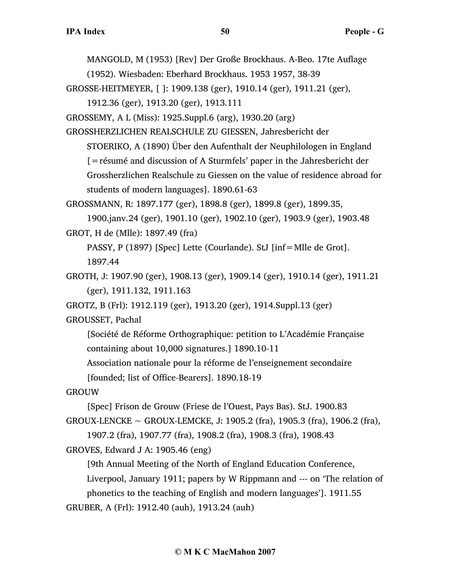MANGOLD, M (1953) [Rev] Der Große Brockhaus. A-Beo. 17te Auflage

(1952). Wiesbaden: Eberhard Brockhaus. 1953 1957, 38-39

GROSSE-HEITMEYER, [ ]: 1909.138 (ger), 1910.14 (ger), 1911.21 (ger),

1912.36 (ger), 1913.20 (ger), 1913.111

GROSSEMY, A L (Miss): 1925.Suppl.6 (arg), 1930.20 (arg)

GROSSHERZLICHEN REALSCHULE ZU GIESSEN, Jahresbericht der STOERIKO, A (1890) Über den Aufenthalt der Neuphilologen in England [=résumé and discussion of A Sturmfels' paper in the Jahresbericht der Grossherzlichen Realschule zu Giessen on the value of residence abroad for students of modern languages]. 1890.61-63

GROSSMANN, R: 1897.177 (ger), 1898.8 (ger), 1899.8 (ger), 1899.35,

1900.janv.24 (ger), 1901.10 (ger), 1902.10 (ger), 1903.9 (ger), 1903.48 GROT, H de (Mlle): 1897.49 (fra)

PASSY, P (1897) [Spec] Lette (Courlande). StJ [inf=Mlle de Grot]. 1897.44

GROTH, J: 1907.90 (ger), 1908.13 (ger), 1909.14 (ger), 1910.14 (ger), 1911.21 (ger), 1911.132, 1911.163

GROTZ, B (Frl): 1912.119 (ger), 1913.20 (ger), 1914.Suppl.13 (ger)

GROUSSET, Pachal

[Société de Réforme Orthographique: petition to L'Académie Française containing about 10,000 signatures.] 1890.10-11

Association nationale pour la réforme de l'enseignement secondaire

[founded; list of Office-Bearers]. 1890.18-19

GROUW

```
[Spec] Frison de Grouw (Friese de l'Ouest, Pays Bas). StJ. 1900.83
```
GROUX-LENCKE  $\sim$  GROUX-LEMCKE, J: 1905.2 (fra), 1905.3 (fra), 1906.2 (fra),

1907.2 (fra), 1907.77 (fra), 1908.2 (fra), 1908.3 (fra), 1908.43

GROVES, Edward J A: 1905.46 (eng)

[9th Annual Meeting of the North of England Education Conference,

Liverpool, January 1911; papers by W Rippmann and --- on 'The relation of phonetics to the teaching of English and modern languages']. 1911.55

GRUBER, A (Frl): 1912.40 (auh), 1913.24 (auh)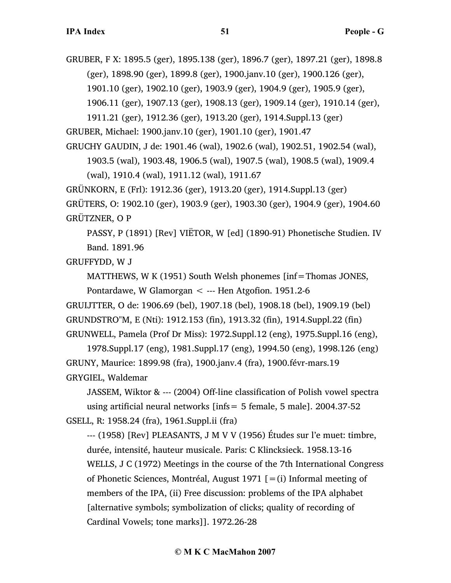GRUBER, F X: 1895.5 (ger), 1895.138 (ger), 1896.7 (ger), 1897.21 (ger), 1898.8 (ger), 1898.90 (ger), 1899.8 (ger), 1900.janv.10 (ger), 1900.126 (ger), 1901.10 (ger), 1902.10 (ger), 1903.9 (ger), 1904.9 (ger), 1905.9 (ger), 1906.11 (ger), 1907.13 (ger), 1908.13 (ger), 1909.14 (ger), 1910.14 (ger),

```
1911.21 (ger), 1912.36 (ger), 1913.20 (ger), 1914.Suppl.13 (ger)
```
GRUBER, Michael: 1900.janv.10 (ger), 1901.10 (ger), 1901.47

GRUCHY GAUDIN, J de: 1901.46 (wal), 1902.6 (wal), 1902.51, 1902.54 (wal),

1903.5 (wal), 1903.48, 1906.5 (wal), 1907.5 (wal), 1908.5 (wal), 1909.4 (wal), 1910.4 (wal), 1911.12 (wal), 1911.67

GRÜNKORN, E (Frl): 1912.36 (ger), 1913.20 (ger), 1914.Suppl.13 (ger)

GRÜTERS, O: 1902.10 (ger), 1903.9 (ger), 1903.30 (ger), 1904.9 (ger), 1904.60 GRÜTZNER, O P

PASSY, P (1891) [Rev] VIËTOR, W [ed] (1890-91) Phonetische Studien. IV Band. 1891.96

GRUFFYDD, W J

MATTHEWS, W K (1951) South Welsh phonemes [inf=Thomas JONES,

Pontardawe, W Glamorgan < --- Hen Atgofion. 1951.2-6 GRUIJTTER, O de: 1906.69 (bel), 1907.18 (bel), 1908.18 (bel), 1909.19 (bel)

```
GRUNDSTRO"M, E (Nti): 1912.153 (fin), 1913.32 (fin), 1914.Suppl.22 (fin)
```
GRUNWELL, Pamela (Prof Dr Miss): 1972.Suppl.12 (eng), 1975.Suppl.16 (eng),

1978.Suppl.17 (eng), 1981.Suppl.17 (eng), 1994.50 (eng), 1998.126 (eng) GRUNY, Maurice: 1899.98 (fra), 1900.janv.4 (fra), 1900.févr-mars.19 GRYGIEL, Waldemar

JASSEM, Wiktor & --- (2004) Off-line classification of Polish vowel spectra using artificial neural networks [infs= 5 female, 5 male]. 2004.37-52 GSELL, R: 1958.24 (fra), 1961.Suppl.ii (fra)

--- (1958) [Rev] PLEASANTS, J M V V (1956) Études sur l'e muet: timbre, durée, intensité, hauteur musicale. Paris: C Klincksieck. 1958.13-16 WELLS, J C (1972) Meetings in the course of the 7th International Congress of Phonetic Sciences, Montréal, August 1971  $[=(i)]$  Informal meeting of members of the IPA, (ii) Free discussion: problems of the IPA alphabet [alternative symbols; symbolization of clicks; quality of recording of Cardinal Vowels; tone marks]]. 1972.26-28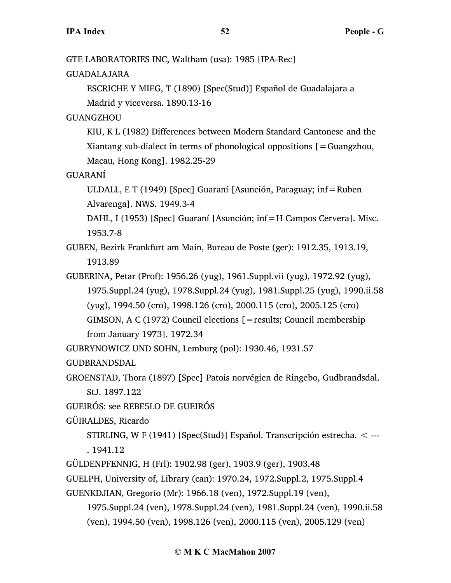GTE LABORATORIES INC, Waltham (usa): 1985 [IPA-Rec]

GUADALAJARA

ESCRICHE Y MIEG, T (1890) [Spec(Stud)] Español de Guadalajara a Madrid y viceversa. 1890.13-16

GUANGZHOU

KIU, K L (1982) Differences between Modern Standard Cantonese and the Xiantang sub-dialect in terms of phonological oppositions  $[$  = Guangzhou, Macau, Hong Kong]. 1982.25-29

GUARANÍ

ULDALL, E T (1949) [Spec] Guaraní [Asunción, Paraguay; inf=Ruben Alvarenga]. NWS. 1949.3-4

DAHL, I (1953) [Spec] Guaraní [Asunción; inf=H Campos Cervera]. Misc. 1953.7-8

GUBEN, Bezirk Frankfurt am Main, Bureau de Poste (ger): 1912.35, 1913.19, 1913.89

GUBERINA, Petar (Prof): 1956.26 (yug), 1961.Suppl.vii (yug), 1972.92 (yug), 1975.Suppl.24 (yug), 1978.Suppl.24 (yug), 1981.Suppl.25 (yug), 1990.ii.58 (yug), 1994.50 (cro), 1998.126 (cro), 2000.115 (cro), 2005.125 (cro) GIMSON, A C (1972) Council elections [=results; Council membership from January 1973]. 1972.34

GUBRYNOWICZ UND SOHN, Lemburg (pol): 1930.46, 1931.57

GUDBRANDSDAL

GROENSTAD, Thora (1897) [Spec] Patois norvégien de Ringebo, Gudbrandsdal. StJ. 1897.122

GUEIRÓS: see REBE5LO DE GUEIRÓS

GÜIRALDES, Ricardo

STIRLING, W F (1941) [Spec(Stud)] Español. Transcripción estrecha. < --- . 1941.12

GÜLDENPFENNIG, H (Frl): 1902.98 (ger), 1903.9 (ger), 1903.48

GUELPH, University of, Library (can): 1970.24, 1972.Suppl.2, 1975.Suppl.4

GUENKDJIAN, Gregorio (Mr): 1966.18 (ven), 1972.Suppl.19 (ven),

1975.Suppl.24 (ven), 1978.Suppl.24 (ven), 1981.Suppl.24 (ven), 1990.ii.58 (ven), 1994.50 (ven), 1998.126 (ven), 2000.115 (ven), 2005.129 (ven)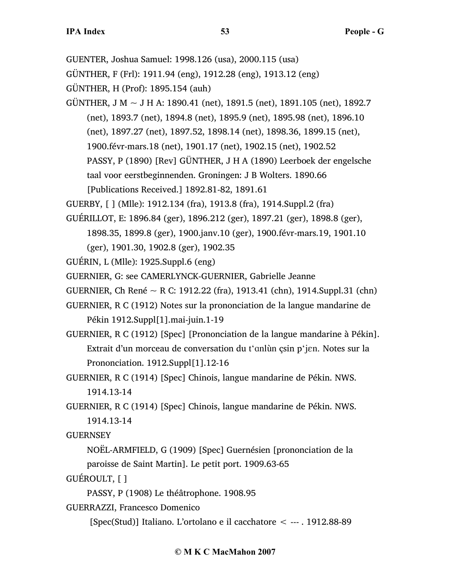GUENTER, Joshua Samuel: 1998.126 (usa), 2000.115 (usa)

GÜNTHER, F (Frl): 1911.94 (eng), 1912.28 (eng), 1913.12 (eng)

GÜNTHER, H (Prof): 1895.154 (auh)

GÜNTHER, J M  $\sim$  J H A: 1890.41 (net), 1891.5 (net), 1891.105 (net), 1892.7 (net), 1893.7 (net), 1894.8 (net), 1895.9 (net), 1895.98 (net), 1896.10 (net), 1897.27 (net), 1897.52, 1898.14 (net), 1898.36, 1899.15 (net), 1900.févr-mars.18 (net), 1901.17 (net), 1902.15 (net), 1902.52 PASSY, P (1890) [Rev] GÜNTHER, J H A (1890) Leerboek der engelsche taal voor eerstbeginnenden. Groningen: J B Wolters. 1890.66 [Publications Received.] 1892.81-82, 1891.61

GUERBY, [ ] (Mlle): 1912.134 (fra), 1913.8 (fra), 1914.Suppl.2 (fra)

- GUÉRILLOT, E: 1896.84 (ger), 1896.212 (ger), 1897.21 (ger), 1898.8 (ger),
	- 1898.35, 1899.8 (ger), 1900.janv.10 (ger), 1900.févr-mars.19, 1901.10

(ger), 1901.30, 1902.8 (ger), 1902.35

GUÉRIN, L (Mlle): 1925.Suppl.6 (eng)

GUERNIER, G: see CAMERLYNCK-GUERNIER, Gabrielle Jeanne

GUERNIER, Ch René ~ R C: 1912.22 (fra), 1913.41 (chn), 1914.Suppl.31 (chn)

GUERNIER, R C (1912) Notes sur la prononciation de la langue mandarine de Pékin 1912.Suppl[1].mai-juin.1-19

GUERNIER, R C (1912) [Spec] [Prononciation de la langue mandarine à Pékin]. Extrait d'un morceau de conversation du t'anlun çsin p'jen. Notes sur la Prononciation. 1912.Suppl[1].12-16

GUERNIER, R C (1914) [Spec] Chinois, langue mandarine de Pékin. NWS. 1914.13-14

GUERNIER, R C (1914) [Spec] Chinois, langue mandarine de Pékin. NWS. 1914.13-14

GUERNSEY

NOËL-ARMFIELD, G (1909) [Spec] Guernésien [prononciation de la paroisse de Saint Martin]. Le petit port. 1909.63-65

GUÉROULT, [ ]

PASSY, P (1908) Le théâtrophone. 1908.95

GUERRAZZI, Francesco Domenico

[Spec(Stud)] Italiano. L'ortolano e il cacchatore < --- . 1912.88-89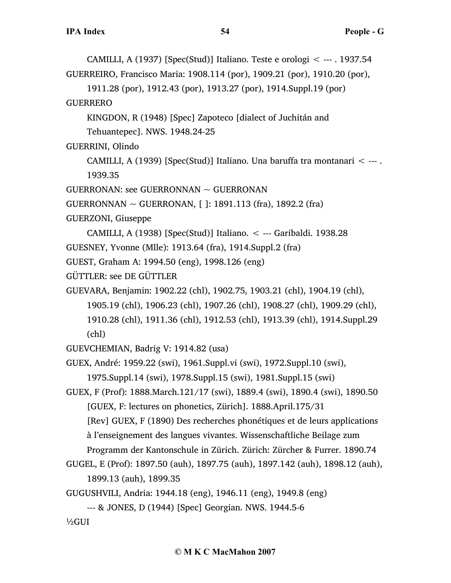CAMILLI, A (1937) [Spec(Stud)] Italiano. Teste e orologi < --- . 1937.54 GUERREIRO, Francisco Maria: 1908.114 (por), 1909.21 (por), 1910.20 (por), 1911.28 (por), 1912.43 (por), 1913.27 (por), 1914.Suppl.19 (por) GUERRERO KINGDON, R (1948) [Spec] Zapoteco [dialect of Juchitán and Tehuantepec]. NWS. 1948.24-25 GUERRINI, Olindo CAMILLI, A (1939) [Spec(Stud)] Italiano. Una baruffa tra montanari < --- . 1939.35 GUERRONAN: see GUERRONNAN ~ GUERRONAN GUERRONNAN ~ GUERRONAN, [ ]: 1891.113 (fra), 1892.2 (fra) GUERZONI, Giuseppe CAMILLI, A (1938) [Spec(Stud)] Italiano. < --- Garibaldi. 1938.28 GUESNEY, Yvonne (Mlle): 1913.64 (fra), 1914.Suppl.2 (fra) GUEST, Graham A: 1994.50 (eng), 1998.126 (eng) GÜTTLER: see DE GÜTTLER GUEVARA, Benjamin: 1902.22 (chl), 1902.75, 1903.21 (chl), 1904.19 (chl), 1905.19 (chl), 1906.23 (chl), 1907.26 (chl), 1908.27 (chl), 1909.29 (chl), 1910.28 (chl), 1911.36 (chl), 1912.53 (chl), 1913.39 (chl), 1914.Suppl.29 (chl) GUEVCHEMIAN, Badrig V: 1914.82 (usa) GUEX, André: 1959.22 (swi), 1961.Suppl.vi (swi), 1972.Suppl.10 (swi), 1975.Suppl.14 (swi), 1978.Suppl.15 (swi), 1981.Suppl.15 (swi) GUEX, F (Prof): 1888.March.121/17 (swi), 1889.4 (swi), 1890.4 (swi), 1890.50 [GUEX, F: lectures on phonetics, Zürich]. 1888.April.175/31 [Rev] GUEX, F (1890) Des recherches phonétiques et de leurs applications à l'enseignement des langues vivantes. Wissenschaftliche Beilage zum Programm der Kantonschule in Zürich. Zürich: Zürcher & Furrer. 1890.74 GUGEL, E (Prof): 1897.50 (auh), 1897.75 (auh), 1897.142 (auh), 1898.12 (auh), 1899.13 (auh), 1899.35 GUGUSHVILI, Andria: 1944.18 (eng), 1946.11 (eng), 1949.8 (eng) --- & JONES, D (1944) [Spec] Georgian. NWS. 1944.5-6 ½GUI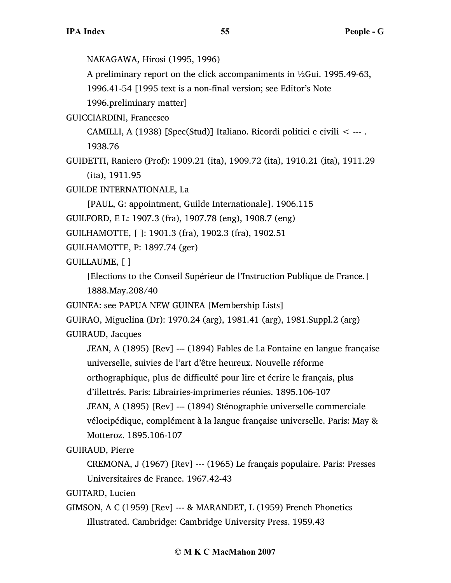NAKAGAWA, Hirosi (1995, 1996)

A preliminary report on the click accompaniments in ½Gui. 1995.49-63,

1996.41-54 [1995 text is a non-final version; see Editor's Note

1996.preliminary matter]

GUICCIARDINI, Francesco

CAMILLI, A (1938) [Spec(Stud)] Italiano. Ricordi politici e civili < --- . 1938.76

GUIDETTI, Raniero (Prof): 1909.21 (ita), 1909.72 (ita), 1910.21 (ita), 1911.29 (ita), 1911.95

GUILDE INTERNATIONALE, La

[PAUL, G: appointment, Guilde Internationale]. 1906.115

GUILFORD, E L: 1907.3 (fra), 1907.78 (eng), 1908.7 (eng)

GUILHAMOTTE, [ ]: 1901.3 (fra), 1902.3 (fra), 1902.51

GUILHAMOTTE, P: 1897.74 (ger)

GUILLAUME, [ ]

[Elections to the Conseil Supérieur de l'Instruction Publique de France.] 1888.May.208/40

GUINEA: see PAPUA NEW GUINEA [Membership Lists]

GUIRAO, Miguelina (Dr): 1970.24 (arg), 1981.41 (arg), 1981.Suppl.2 (arg)

GUIRAUD, Jacques

JEAN, A (1895) [Rev] --- (1894) Fables de La Fontaine en langue française universelle, suivies de l'art d'être heureux. Nouvelle réforme orthographique, plus de difficulté pour lire et écrire le français, plus d'illettrés. Paris: Librairies-imprimeries réunies. 1895.106-107 JEAN, A (1895) [Rev] --- (1894) Sténographie universelle commerciale vélocipédique, complément à la langue française universelle. Paris: May & Motteroz. 1895.106-107

GUIRAUD, Pierre

CREMONA, J (1967) [Rev] --- (1965) Le français populaire. Paris: Presses Universitaires de France. 1967.42-43

GUITARD, Lucien

GIMSON, A C (1959) [Rev] --- & MARANDET, L (1959) French Phonetics Illustrated. Cambridge: Cambridge University Press. 1959.43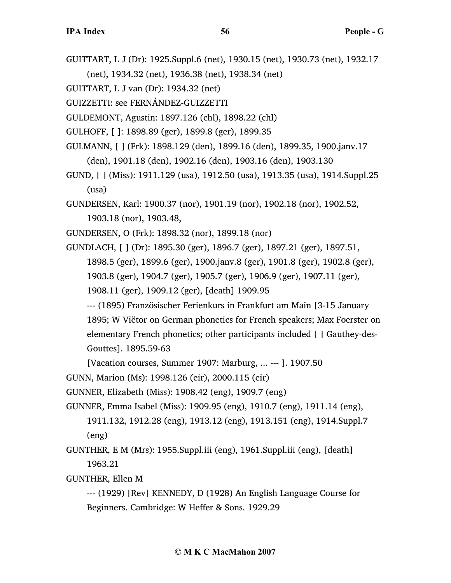- GUITTART, L J (Dr): 1925.Suppl.6 (net), 1930.15 (net), 1930.73 (net), 1932.17 (net), 1934.32 (net), 1936.38 (net), 1938.34 (net)
- GUITTART, L J van (Dr): 1934.32 (net)
- GUIZZETTI: see FERNÁNDEZ-GUIZZETTI
- GULDEMONT, Agustin: 1897.126 (chl), 1898.22 (chl)
- GULHOFF, [ ]: 1898.89 (ger), 1899.8 (ger), 1899.35
- GULMANN, [ ] (Frk): 1898.129 (den), 1899.16 (den), 1899.35, 1900.janv.17 (den), 1901.18 (den), 1902.16 (den), 1903.16 (den), 1903.130
- GUND, [ ] (Miss): 1911.129 (usa), 1912.50 (usa), 1913.35 (usa), 1914.Suppl.25 (usa)
- GUNDERSEN, Karl: 1900.37 (nor), 1901.19 (nor), 1902.18 (nor), 1902.52, 1903.18 (nor), 1903.48,
- GUNDERSEN, O (Frk): 1898.32 (nor), 1899.18 (nor)
- GUNDLACH, [ ] (Dr): 1895.30 (ger), 1896.7 (ger), 1897.21 (ger), 1897.51, 1898.5 (ger), 1899.6 (ger), 1900.janv.8 (ger), 1901.8 (ger), 1902.8 (ger), 1903.8 (ger), 1904.7 (ger), 1905.7 (ger), 1906.9 (ger), 1907.11 (ger), 1908.11 (ger), 1909.12 (ger), [death] 1909.95
	- --- (1895) Französischer Ferienkurs in Frankfurt am Main [3-15 January 1895; W Viëtor on German phonetics for French speakers; Max Foerster on elementary French phonetics; other participants included [ ] Gauthey-des-Gouttes]. 1895.59-63
	- [Vacation courses, Summer 1907: Marburg, ... --- ]. 1907.50
- GUNN, Marion (Ms): 1998.126 (eir), 2000.115 (eir)
- GUNNER, Elizabeth (Miss): 1908.42 (eng), 1909.7 (eng)
- GUNNER, Emma Isabel (Miss): 1909.95 (eng), 1910.7 (eng), 1911.14 (eng),
	- 1911.132, 1912.28 (eng), 1913.12 (eng), 1913.151 (eng), 1914.Suppl.7 (eng)
- GUNTHER, E M (Mrs): 1955.Suppl.iii (eng), 1961.Suppl.iii (eng), [death] 1963.21
- GUNTHER, Ellen M
	- --- (1929) [Rev] KENNEDY, D (1928) An English Language Course for Beginners. Cambridge: W Heffer & Sons. 1929.29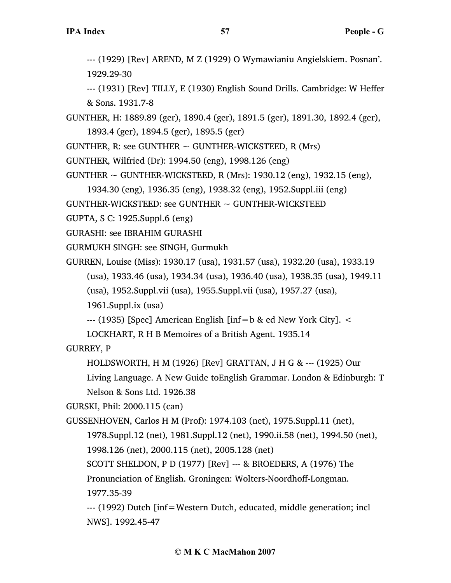--- (1929) [Rev] AREND, M Z (1929) O Wymawianiu Angielskiem. Posnan'. 1929.29-30

--- (1931) [Rev] TILLY, E (1930) English Sound Drills. Cambridge: W Heffer & Sons. 1931.7-8

GUNTHER, H: 1889.89 (ger), 1890.4 (ger), 1891.5 (ger), 1891.30, 1892.4 (ger), 1893.4 (ger), 1894.5 (ger), 1895.5 (ger)

GUNTHER, R: see GUNTHER  $\sim$  GUNTHER-WICKSTEED, R (Mrs)

GUNTHER, Wilfried (Dr): 1994.50 (eng), 1998.126 (eng)

GUNTHER  $\sim$  GUNTHER-WICKSTEED, R (Mrs): 1930.12 (eng), 1932.15 (eng),

1934.30 (eng), 1936.35 (eng), 1938.32 (eng), 1952.Suppl.iii (eng)

GUNTHER-WICKSTEED: see GUNTHER  $\sim$  GUNTHER-WICKSTEED

GUPTA, S C: 1925.Suppl.6 (eng)

GURASHI: see IBRAHIM GURASHI

GURMUKH SINGH: see SINGH, Gurmukh

GURREN, Louise (Miss): 1930.17 (usa), 1931.57 (usa), 1932.20 (usa), 1933.19 (usa), 1933.46 (usa), 1934.34 (usa), 1936.40 (usa), 1938.35 (usa), 1949.11

(usa), 1952.Suppl.vii (usa), 1955.Suppl.vii (usa), 1957.27 (usa),

1961.Suppl.ix (usa)

 $-$ -- $(1935)$  [Spec] American English [inf=b & ed New York City].  $\lt$ 

LOCKHART, R H B Memoires of a British Agent. 1935.14

GURREY, P

HOLDSWORTH, H M (1926) [Rev] GRATTAN, J H G & --- (1925) Our

Living Language. A New Guide toEnglish Grammar. London & Edinburgh: T Nelson & Sons Ltd. 1926.38

GURSKI, Phil: 2000.115 (can)

GUSSENHOVEN, Carlos H M (Prof): 1974.103 (net), 1975.Suppl.11 (net),

1978.Suppl.12 (net), 1981.Suppl.12 (net), 1990.ii.58 (net), 1994.50 (net),

1998.126 (net), 2000.115 (net), 2005.128 (net)

SCOTT SHELDON, P D (1977) [Rev] --- & BROEDERS, A (1976) The

Pronunciation of English. Groningen: Wolters-Noordhoff-Longman.

1977.35-39

--- (1992) Dutch [inf=Western Dutch, educated, middle generation; incl NWS]. 1992.45-47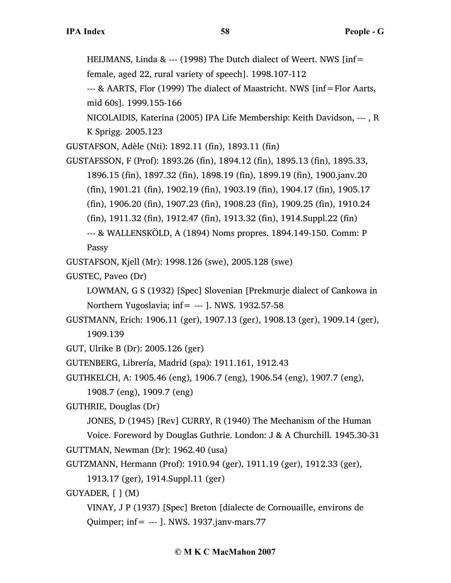HEIJMANS, Linda & --- (1998) The Dutch dialect of Weert. NWS [inf=

female, aged 22, rural variety of speech]. 1998.107-112

--- & AARTS, Flor (1999) The dialect of Maastricht. NWS [inf=Flor Aarts, mid 60s]. 1999.155-166

NICOLAIDIS, Katerina (2005) IPA Life Membership: Keith Davidson, --- , R K Sprigg. 2005.123

GUSTAFSON, Adèle (Nti): 1892.11 (fin), 1893.11 (fin)

GUSTAFSSON, F (Prof): 1893.26 (fin), 1894.12 (fin), 1895.13 (fin), 1895.33, 1896.15 (fin), 1897.32 (fin), 1898.19 (fin), 1899.19 (fin), 1900.janv.20 (fin), 1901.21 (fin), 1902.19 (fin), 1903.19 (fin), 1904.17 (fin), 1905.17 (fin), 1906.20 (fin), 1907.23 (fin), 1908.23 (fin), 1909.25 (fin), 1910.24 (fin), 1911.32 (fin), 1912.47 (fin), 1913.32 (fin), 1914.Suppl.22 (fin) --- & WALLENSKÖLD, A (1894) Noms propres. 1894.149-150. Comm: P

Passy

GUSTAFSON, Kjell (Mr): 1998.126 (swe), 2005.128 (swe)

GUSTEC, Paveo (Dr)

LOWMAN, G S (1932) [Spec] Slovenian [Prekmurje dialect of Cankowa in Northern Yugoslavia; inf=  $---$  ]. NWS. 1932.57-58

GUSTMANN, Erich: 1906.11 (ger), 1907.13 (ger), 1908.13 (ger), 1909.14 (ger), 1909.139

GUT, Ulrike B (Dr): 2005.126 (ger)

GUTENBERG, Librería, Madrid (spa): 1911.161, 1912.43

GUTHKELCH, A: 1905.46 (eng), 1906.7 (eng), 1906.54 (eng), 1907.7 (eng),

1908.7 (eng), 1909.7 (eng)

GUTHRIE, Douglas (Dr)

JONES, D (1945) [Rev] CURRY, R (1940) The Mechanism of the Human

Voice. Foreword by Douglas Guthrie. London: J & A Churchill. 1945.30-31 GUTTMAN, Newman (Dr): 1962.40 (usa)

GUTZMANN, Hermann (Prof): 1910.94 (ger), 1911.19 (ger), 1912.33 (ger),

1913.17 (ger), 1914.Suppl.11 (ger)

GUYADER, [ ] (M)

VINAY, J P (1937) [Spec] Breton [dialecte de Cornouaille, environs de Quimper; inf= --- ]. NWS. 1937.janv-mars.77